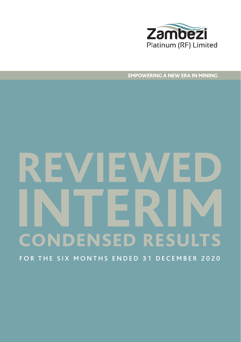

EMPOWERING A NEW ERA IN MINING

# **REVIEWED** FOR THE SIX MONTHS ENDED 31 DECEMBER 2020 **INTERIM** CONDENSED RESULTS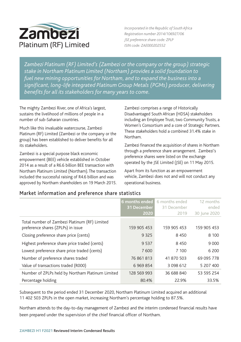

*Incorporated in the Republic of South Africa Registration number 2014/106927/06 JSE preference share code: ZPLP ISIN code: ZAE000202552* 

*Zambezi Platinum (RF) Limited's (Zambezi or the company or the group) strategic stake in Northam Platinum Limited (Northam) provides a solid foundation to fuel new mining opportunities for Northam, and to expand the business into a significant, long-life integrated Platinum Group Metals (PGMs) producer, delivering benefits for all its stakeholders for many years to come.*

The mighty Zambezi River, one of Africa's largest, sustains the livelihood of millions of people in a number of sub-Saharan countries.

Much like this invaluable watercourse, Zambezi Platinum (RF) Limited (Zambezi or the company or the group) has been established to deliver benefits for all its stakeholders.

Zambezi is a special purpose black economic empowerment (BEE) vehicle established in October 2014 as a result of a R6.6 billion BEE transaction with Northam Platinum Limited (Northam). The transaction included the successful raising of R4.6 billion and was approved by Northam shareholders on 19 March 2015. Zambezi comprises a range of Historically Disadvantaged South African (HDSA) stakeholders including an Employee Trust, two Community Trusts, a Women's Consortium and a core of Strategic Partners. These stakeholders hold a combined 31.4% stake in Northam.

Zambezi financed the acquisition of shares in Northam through a preference share arrangement. Zambezi's preference shares were listed on the exchange operated by the JSE Limited (JSE) on 11 May 2015.

Apart from its function as an empowerment vehicle, Zambezi does not and will not conduct any operational business.

|                                                                                     | 6 months ended<br>31 December<br>2020 | 6 months ended<br>31 December<br>2019 | 12 months<br>ended<br>30 June 2020 |
|-------------------------------------------------------------------------------------|---------------------------------------|---------------------------------------|------------------------------------|
| Total number of Zambezi Platinum (RF) Limited<br>preference shares (ZPLPs) in issue | 159 905 453                           | 159 905 453                           | 159 905 453                        |
| Closing preference share price (cents)                                              | 9 3 2 5                               | 8 4 5 0                               | 8 100                              |
| Highest preference share price traded (cents)                                       | 9537                                  | 8450                                  | 9 0 0 0                            |
| Lowest preference share price traded (cents)                                        | 7600                                  | 7 100                                 | 6 200                              |
| Number of preference shares traded                                                  | 76 861 813                            | 41 870 503                            | 69 095 778                         |
| Value of transactions traded (R000)                                                 | 6 9 69 8 54                           | 3 0 9 8 6 1 2                         | 5 207 400                          |
| Number of ZPLPs held by Northam Platinum Limited                                    | 128 569 993                           | 36 688 840                            | 53 595 254                         |
| Percentage holding                                                                  | 80.4%                                 | 22.9%                                 | 33.5%                              |

### Market information and preference share statistics

Subsequent to the period ended 31 December 2020, Northam Platinum Limited acquired an additional 11 402 503 ZPLPs in the open market, increasing Northam's percentage holding to 87.5%.

Northam attends to the day-to-day management of Zambezi and the interim condensed financial results have been prepared under the supervision of the chief financial officer of Northam.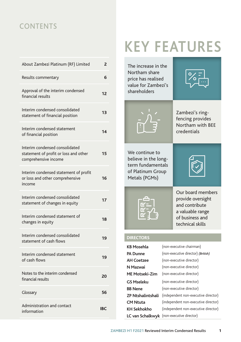### **CONTENTS**

| About Zambezi Platinum (RF) Limited                                                             | $\overline{2}$ |
|-------------------------------------------------------------------------------------------------|----------------|
| Results commentary                                                                              | 6              |
| Approval of the interim condensed<br>financial results                                          | 12             |
| Interim condensed consolidated<br>statement of financial position                               | 13             |
| Interim condensed statement<br>of financial position                                            | 14             |
| Interim condensed consolidated<br>statement of profit or loss and other<br>comprehensive income | 15             |
| Interim condensed statement of profit<br>or loss and other comprehensive<br>income              | 16             |
| Interim condensed consolidated<br>statement of changes in equity                                | 17             |
| Interim condensed statement of<br>changes in equity                                             | 18             |
| Interim condensed consolidated<br>statement of cash flows                                       | 19             |
| Interim condensed statement<br>of cash flows                                                    | 19             |
| Notes to the interim condensed<br>financial results                                             | 20             |
| Glossary                                                                                        | 56             |
| Administration and contact<br>information                                                       | <b>IBC</b>     |

# **KEY FEATURES**

The increase in the Northam share price has realised value for Zambezi's shareholders





Zambezi's ringfencing provides Northam with BEE credentials

We continue to believe in the longterm fundamentals of Platinum Group Metals (PGMs)





### **DIRECTORS**

| <b>KB Mosehla</b>        | (non-executive chairman)                  |
|--------------------------|-------------------------------------------|
| <b>PA Dunne</b>          | (non-executive director) (British)        |
| <b>AH Coetzee</b>        | (non-executive director)                  |
| N Mazwai                 | (non-executive director)                  |
| <b>ME Motseki-Zim</b>    | (non-executive director)                  |
| GS Mseleku               | (non-executive director)                  |
| <b>BB</b> Nene           | (non-executive director)                  |
| <b>ZP Ntshalintshali</b> | (independent non-executive director)      |
| <b>CM Ntuta</b>          | (independent non-executive director)      |
| <b>KH Sekhokho</b>       | (independent non-executive director)      |
|                          | LC van Schalkwyk (non-executive director) |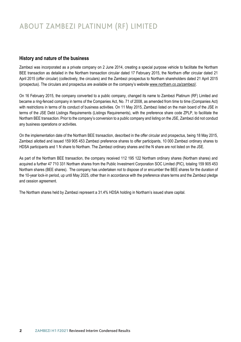### **History and nature of the business**

Zambezi was incorporated as a private company on 2 June 2014, creating a special purpose vehicle to facilitate the Northam BEE transaction as detailed in the Northam transaction circular dated 17 February 2015, the Northam offer circular dated 21 April 2015 (offer circular) (collectively, the circulars) and the Zambezi prospectus to Northam shareholders dated 21 April 2015 (prospectus). The circulars and prospectus are available on the company's website www.northam.co.za/zambezi/.

On 16 February 2015, the company converted to a public company, changed its name to Zambezi Platinum (RF) Limited and became a ring-fenced company in terms of the Companies Act, No. 71 of 2008, as amended from time to time (Companies Act) with restrictions in terms of its conduct of business activities. On 11 May 2015, Zambezi listed on the main board of the JSE in terms of the JSE Debt Listings Requirements (Listings Requirements), with the preference share code ZPLP, to facilitate the Northam BEE transaction. Prior to the company's conversion to a public company and listing on the JSE, Zambezi did not conduct any business operations or activities.

On the implementation date of the Northam BEE transaction, described in the offer circular and prospectus, being 18 May 2015, Zambezi allotted and issued 159 905 453 Zambezi preference shares to offer participants, 10 000 Zambezi ordinary shares to HDSA participants and 1 N share to Northam. The Zambezi ordinary shares and the N share are not listed on the JSE.

As part of the Northam BEE transaction, the company received 112 195 122 Northam ordinary shares (Northam shares) and acquired a further 47 710 331 Northam shares from the Public Investment Corporation SOC Limited (PIC), totaling 159 905 453 Northam shares (BEE shares). The company has undertaken not to dispose of or encumber the BEE shares for the duration of the 10-year lock-in period, up until May 2025, other than in accordance with the preference share terms and the Zambezi pledge and cession agreement.

The Northam shares held by Zambezi represent a 31.4% HDSA holding in Northam's issued share capital.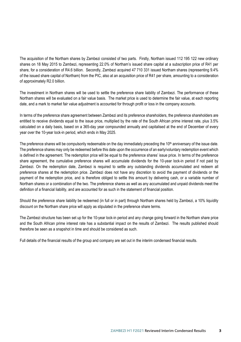The acquisition of the Northam shares by Zambezi consisted of two parts. Firstly, Northam issued 112 195 122 new ordinary shares on 18 May 2015 to Zambezi, representing 22.0% of Northam's issued share capital at a subscription price of R41 per share, for a consideration of R4.6 billion. Secondly, Zambezi acquired 47 710 331 issued Northam shares (representing 9.4% of the issued share capital of Northam) from the PIC, also at an acquisition price of R41 per share, amounting to a consideration of approximately R2.0 billion.

The investment in Northam shares will be used to settle the preference share liability of Zambezi. The performance of these Northam shares will be evaluated on a fair value basis. The market price is used to determine the fair value, at each reporting date, and a mark to market fair value adjustment is accounted for through profit or loss in the company accounts.

In terms of the preference share agreement between Zambezi and its preference shareholders, the preference shareholders are entitled to receive dividends equal to the issue price, multiplied by the rate of the South African prime interest rate, plus 3.5% calculated on a daily basis, based on a 365-day year compounded annually and capitalised at the end of December of every year over the 10-year lock-in period, which ends in May 2025.

The preference shares will be compulsorily redeemable on the day immediately preceding the 10<sup>th</sup> anniversary of the issue date. The preference shares may only be redeemed before this date upon the occurrence of an early/voluntary redemption event which is defined in the agreement. The redemption price will be equal to the preference shares' issue price. In terms of the preference share agreement, the cumulative preference shares will accumulate dividends for the 10-year lock-in period if not paid by Zambezi. On the redemption date, Zambezi is required to settle any outstanding dividends accumulated and redeem all preference shares at the redemption price. Zambezi does not have any discretion to avoid the payment of dividends or the payment of the redemption price, and is therefore obliged to settle this amount by delivering cash, or a variable number of Northam shares or a combination of the two. The preference shares as well as any accumulated and unpaid dividends meet the definition of a financial liability, and are accounted for as such in the statement of financial position.

Should the preference share liability be redeemed (in full or in part) through Northam shares held by Zambezi, a 10% liquidity discount on the Northam share price will apply as stipulated in the preference share terms.

The Zambezi structure has been set up for the 10-year lock-in period and any change going forward in the Northam share price and the South African prime interest rate has a substantial impact on the results of Zambezi. The results published should therefore be seen as a snapshot in time and should be considered as such.

Full details of the financial results of the group and company are set out in the interim condensed financial results.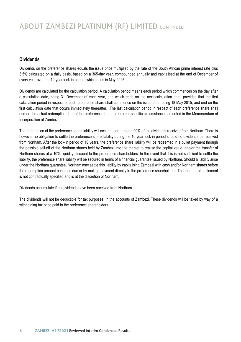### ABOUT ZAMBEZI PLATINUM (RF) LIMITED CONTINUED

### **Dividends**

Dividends on the preference shares equals the issue price multiplied by the rate of the South African prime interest rate plus 3.5% calculated on a daily basis, based on a 365-day year, compounded annually and capitalised at the end of December of every year over the 10-year lock-in period, which ends in May 2025.

Dividends are calculated for the calculation period. A calculation period means each period which commences on the day after a calculation date, being 31 December of each year, and which ends on the next calculation date, provided that the first calculation period in respect of each preference share shall commence on the issue date, being 18 May 2015, and end on the first calculation date that occurs immediately thereafter. The last calculation period in respect of each preference share shall end on the actual redemption date of the preference share, or in other specific circumstances as noted in the Memorandum of Incorporation of Zambezi.

The redemption of the preference share liability will occur in part through 90% of the dividends received from Northam. There is however no obligation to settle the preference share liability during the 10-year lock-in period should no dividends be received from Northam. After the lock-in period of 10 years, the preference share liability will be redeemed in a bullet payment through the possible sell-off of the Northam shares held by Zambezi into the market to realise the capital value, and/or the transfer of Northam shares at a 10% liquidity discount to the preference shareholders. In the event that this is not sufficient to settle the liability, the preference share liability will be secured in terms of a financial guarantee issued by Northam. Should a liability arise under the Northam guarantee, Northam may settle this liability by capitalising Zambezi with cash and/or Northam shares before the redemption amount becomes due or by making payment directly to the preference shareholders. The manner of settlement is not contractually specified and is at the discretion of Northam.

Dividends accumulate if no dividends have been received from Northam.

The dividends will not be deductible for tax purposes, in the accounts of Zambezi. These dividends will be taxed by way of a withholding tax once paid to the preference shareholders.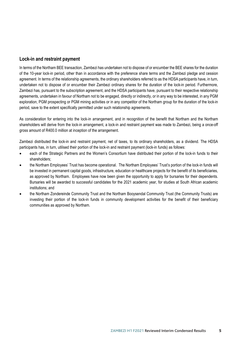### **Lock-in and restraint payment**

In terms of the Northam BEE transaction, Zambezi has undertaken not to dispose of or encumber the BEE shares for the duration of the 10-year lock-in period, other than in accordance with the preference share terms and the Zambezi pledge and cession agreement. In terms of the relationship agreements, the ordinary shareholders referred to as the HDSA participants have, in turn, undertaken not to dispose of or encumber their Zambezi ordinary shares for the duration of the lock-in period. Furthermore, Zambezi has, pursuant to the subscription agreement, and the HDSA participants have, pursuant to their respective relationship agreements, undertaken in favour of Northam not to be engaged, directly or indirectly, or in any way to be interested, in any PGM exploration, PGM prospecting or PGM mining activities or in any competitor of the Northam group for the duration of the lock-in period, save to the extent specifically permitted under such relationship agreements.

As consideration for entering into the lock-in arrangement, and in recognition of the benefit that Northam and the Northam shareholders will derive from the lock-in arrangement, a lock-in and restraint payment was made to Zambezi, being a once-off gross amount of R400.0 million at inception of the arrangement.

Zambezi distributed the lock-in and restraint payment, net of taxes, to its ordinary shareholders, as a dividend. The HDSA participants has, in turn, utilised their portion of the lock-in and restraint payment (lock-in funds) as follows:

- each of the Strategic Partners and the Women's Consortium have distributed their portion of the lock-in funds to their shareholders;
- the Northam Employees' Trust has become operational. The Northam Employees' Trust's portion of the lock-in funds will be invested in permanent capital goods, infrastructure, education or healthcare projects for the benefit of its beneficiaries, as approved by Northam. Employees have now been given the opportunity to apply for bursaries for their dependents. Bursaries will be awarded to successful candidates for the 2021 academic year, for studies at South African academic institutions; and
- the Northam Zondereinde Community Trust and the Northam Booysendal Community Trust (the Community Trusts) are investing their portion of the lock-in funds in community development activities for the benefit of their beneficiary communities as approved by Northam.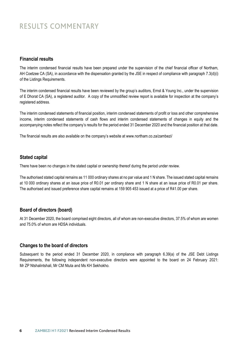### RESULTS COMMENTARY

### **Financial results**

The interim condensed financial results have been prepared under the supervision of the chief financial officer of Northam, AH Coetzee CA (SA), in accordance with the dispensation granted by the JSE in respect of compliance with paragraph 7.3(d)(i) of the Listings Requirements.

The interim condensed financial results have been reviewed by the group's auditors, Ernst & Young Inc., under the supervision of E Dhorat CA (SA), a registered auditor. A copy of the unmodified review report is available for inspection at the company's registered address.

The interim condensed statements of financial position, interim condensed statements of profit or loss and other comprehensive income, interim condensed statements of cash flows and interim condensed statements of changes in equity and the accompanying notes reflect the company's results for the period ended 31 December 2020 and the financial position at that date.

The financial results are also available on the company's website at www.northam.co.za/zambezi/

### **Stated capital**

There have been no changes in the stated capital or ownership thereof during the period under review.

The authorised stated capital remains as 11 000 ordinary shares at no par value and 1 N share. The issued stated capital remains at 10 000 ordinary shares at an issue price of R0.01 per ordinary share and 1 N share at an issue price of R0.01 per share. The authorised and issued preference share capital remains at 159 905 453 issued at a price of R41.00 per share.

### **Board of directors (board)**

At 31 December 2020, the board comprised eight directors, all of whom are non-executive directors, 37.5% of whom are women and 75.0% of whom are HDSA individuals.

#### **Changes to the board of directors**

Subsequent to the period ended 31 December 2020, in compliance with paragraph 6.39(a) of the JSE Debt Listings Requirements, the following independent non-executive directors were appointed to the board on 24 February 2021: Mr ZP Ntshalintshali, Mr CM Ntuta and Ms KH Sekhokho.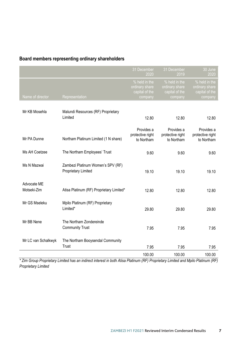### **Board members representing ordinary shareholders**

|                            |                                                          | 31 December<br>2020                                          | 31 December<br>2019                                          | 30 June<br>2020                                              |
|----------------------------|----------------------------------------------------------|--------------------------------------------------------------|--------------------------------------------------------------|--------------------------------------------------------------|
| Name of director           | Representation                                           | % held in the<br>ordinary share<br>capital of the<br>company | % held in the<br>ordinary share<br>capital of the<br>company | % held in the<br>ordinary share<br>capital of the<br>company |
| Mr KB Mosehla              | Malundi Resources (RF) Proprietary<br>Limited            | 12.80                                                        | 12.80                                                        | 12.80                                                        |
| Mr PA Dunne                | Northam Platinum Limited (1 N share)                     | Provides a<br>protective right<br>to Northam                 | Provides a<br>protective right<br>to Northam                 | Provides a<br>protective right<br>to Northam                 |
| Ms AH Coetzee              | The Northam Employees' Trust                             | 9.60                                                         | 9.60                                                         | 9.60                                                         |
| Ms N Mazwai                | Zambezi Platinum Women's SPV (RF)<br>Proprietary Limited | 19.10                                                        | 19.10                                                        | 19.10                                                        |
| Advocate ME<br>Motseki-Zim | Atisa Platinum (RF) Proprietary Limited*                 | 12.80                                                        | 12.80                                                        | 12.80                                                        |
| Mr GS Mseleku              | Mpilo Platinum (RF) Proprietary<br>Limited*              | 29.80                                                        | 29.80                                                        | 29.80                                                        |
| Mr BB Nene                 | The Northam Zondereinde<br><b>Community Trust</b>        | 7.95                                                         | 7.95                                                         | 7.95                                                         |
| Mr LC van Schalkwyk        | The Northam Booysendal Community<br>Trust                | 7.95                                                         | 7.95                                                         | 7.95                                                         |
|                            |                                                          | 100.00                                                       | 100.00                                                       | 100.00                                                       |

*\* Zim Group Proprietary Limited has an indirect interest in both Atisa Platinum (RF) Proprietary Limited and Mpilo Platinum (RF) Proprietary Limited*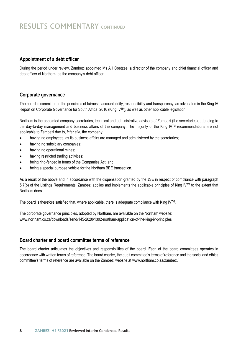### RESULTS COMMENTARY CONTINUED

### **Appointment of a debt officer**

During the period under review, Zambezi appointed Ms AH Coetzee, a director of the company and chief financial officer and debt officer of Northam, as the company's debt officer.

#### **Corporate governance**

The board is committed to the principles of fairness, accountability, responsibility and transparency, as advocated in the King IV Report on Corporate Governance for South Africa, 2016 (King IVTM), as well as other applicable legislation.

Northam is the appointed company secretaries, technical and administrative advisors of Zambezi (the secretaries), attending to the day-to-day management and business affairs of the company. The majority of the King IVTM recommendations are not applicable to Zambezi due to, *inter alia*, the company:

- having no employees, as its business affairs are managed and administered by the secretaries;
- having no subsidiary companies;
- having no operational mines;
- having restricted trading activities;
- being ring-fenced in terms of the Companies Act; and
- being a special purpose vehicle for the Northam BEE transaction.

As a result of the above and in accordance with the dispensation granted by the JSE in respect of compliance with paragraph 5.7(b) of the Listings Requirements, Zambezi applies and implements the applicable principles of King IVTM to the extent that Northam does.

The board is therefore satisfied that, where applicable, there is adequate compliance with King IV<sup>TM</sup>.

The corporate governance principles, adopted by Northam, are available on the Northam website: www.northam.co.za/downloads/send/145-2020/1302-northam-application-of-the-king-iv-principles

### **Board charter and board committee terms of reference**

The board charter articulates the objectives and responsibilities of the board. Each of the board committees operates in accordance with written terms of reference. The board charter, the audit committee's terms of reference and the social and ethics committee's terms of reference are available on the Zambezi website at www.northam.co.za/zambezi/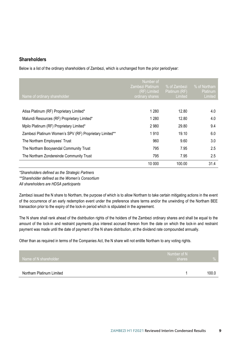### **Shareholders**

Below is a list of the ordinary shareholders of Zambezi, which is unchanged from the prior period/year:

| Name of ordinary shareholder                            | Number of<br>Zambezi Platinum<br>(RF) Limited<br>ordinary shares | % of Zambezi<br>Platinum (RF)<br>Limited | % of Northam<br>Platinum<br>Limited |
|---------------------------------------------------------|------------------------------------------------------------------|------------------------------------------|-------------------------------------|
|                                                         |                                                                  |                                          |                                     |
| Atisa Platinum (RF) Proprietary Limited*                | 1 2 8 0                                                          | 12.80                                    | 4.0                                 |
| Malundi Resources (RF) Proprietary Limited*             | 1 2 8 0                                                          | 12.80                                    | 4.0                                 |
| Mpilo Platinum (RF) Proprietary Limited*                | 2980                                                             | 29.80                                    | 9.4                                 |
| Zambezi Platinum Women's SPV (RF) Proprietary Limited** | 1910                                                             | 19.10                                    | 6.0                                 |
| The Northam Employees' Trust                            | 960                                                              | 9.60                                     | 3.0                                 |
| The Northam Booysendal Community Trust                  | 795                                                              | 7.95                                     | 2.5                                 |
| The Northam Zondereinde Community Trust                 | 795                                                              | 7.95                                     | 2.5                                 |
|                                                         | 10 000                                                           | 100.00                                   | 31.4                                |

*\*Shareholders defined as the Strategic Partners*

*\*\*Shareholder defined as the Women's Consortium*

*All shareholders are HDSA participants*

Zambezi issued the N share to Northam, the purpose of which is to allow Northam to take certain mitigating actions in the event of the occurrence of an early redemption event under the preference share terms and/or the unwinding of the Northam BEE transaction prior to the expiry of the lock-in period which is stipulated in the agreement.

The N share shall rank ahead of the distribution rights of the holders of the Zambezi ordinary shares and shall be equal to the amount of the lock-in and restraint payments plus interest accrued thereon from the date on which the lock-in and restraint payment was made until the date of payment of the N share distribution, at the dividend rate compounded annually.

Other than as required in terms of the Companies Act, the N share will not entitle Northam to any voting rights.

| Name of N shareholder    | Number of N<br>shares | %     |
|--------------------------|-----------------------|-------|
| Northam Platinum Limited |                       | 100.0 |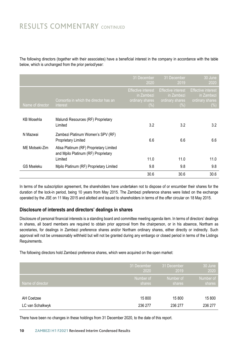### RESULTS COMMENTARY CONTINUED

The following directors (together with their associates) have a beneficial interest in the company in accordance with the table below, which is unchanged from the prior period/year: below, which is unchanged from the prior period/year: below, which is unchanged from the prior period/year:

|                   |                                                                                | 31 December<br>2020                                                  | 31 December<br>2019                                                  | 30 June<br>2020                                                      |
|-------------------|--------------------------------------------------------------------------------|----------------------------------------------------------------------|----------------------------------------------------------------------|----------------------------------------------------------------------|
| Name of director  | Consortia in which the director has an<br>interest                             | <b>Effective interest</b><br>in Zambezi<br>ordinary shares<br>$(\%)$ | <b>Effective interest</b><br>in Zambezi<br>ordinary shares<br>$(\%)$ | <b>Effective interest</b><br>in Zambezi<br>ordinary shares<br>$(\%)$ |
|                   |                                                                                |                                                                      |                                                                      |                                                                      |
| <b>KB Mosehla</b> | Malundi Resources (RF) Proprietary<br>Limited                                  | 3.2                                                                  | 3.2                                                                  | 3.2                                                                  |
| N Mazwai          | Zambezi Platinum Women's SPV (RF)<br><b>Proprietary Limited</b>                | 6.6                                                                  | 6.6                                                                  | 6.6                                                                  |
| ME Motseki-Zim    | Atisa Platinum (RF) Proprietary Limited<br>and Mpilo Platinum (RF) Proprietary |                                                                      |                                                                      |                                                                      |
|                   | Limited                                                                        | 11.0                                                                 | 11.0                                                                 | 11.0                                                                 |
| <b>GS Mseleku</b> | Mpilo Platinum (RF) Proprietary Limited                                        | 9.8                                                                  | 9.8                                                                  | 9.8                                                                  |
|                   |                                                                                | 30.6                                                                 | 30.6                                                                 | 30.6                                                                 |

In terms of the subscription agreement, the shareholders have undertaken not to dispose of or encumber their shares for the duration of the lock-in period, being 10 years from May 2015. The Zambezi preference shares were listed on the exchange operated by the JSE on 11 May 2015 and allotted and issued to shareholders in terms of the offer circular on 18 May 2015. duration of the lock-in period, being 10 years from May 2015. The Zambezi preference shares were listed on the exchange

### **Disclosure of interests and directors' dealings in shares Disclosure of interests and directors' dealings in shares**

werdigsted of the stand and the diversional and the standing board and committee meeting agenda item. In terms of directors' dealings in the mas of directors' dealings in standings in standings in the mass of the standings in shares, all board members are required to obtain prior approval from the chairperson, or in his absence, Northam as secretaries, for dealings in Zambezi preference shares and/or Northam ordinary shares, either directly or indirectly. Such approval will not be unreasonably withheld but will not be granted during any embargo or closed period in terms of the Listings<br>Requirements. Requirements. approval with not be unreasonably withheld but withheld but with the Listings or closed period in terms of the Listings of the Listings or closed period in terms of the Listings or closed period in terms of the Listings of Requirements.

The following directors hold Zambezi preference shares, which were acquired on the open market: The following directors hold Zambezi preference shares, which were acquired on the open market:

|                  | 31 December | 31 December | 30 June   |
|------------------|-------------|-------------|-----------|
|                  | 2020        | 2019        | 2020      |
| Name of director | Number of   | Number of   | Number of |
|                  | shares      | shares      | shares    |
| AH Coetzee       | 15 800      | 15 800      | 15 800    |
| LC van Schalkwyk | 236 277     | 236 277     | 236 277   |

There have been no changes in these holdings from 31 December 2020, to the date of this report. There have been no changes in these holdings from 31 December 2020, to the date of this report.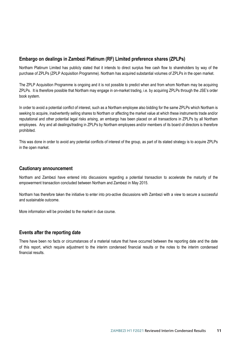### **Embargo on dealings in Zambezi Platinum (RF) Limited preference shares (ZPLPs)**

Northam Platinum Limited has publicly stated that it intends to direct surplus free cash flow to shareholders by way of the purchase of ZPLPs (ZPLP Acquisition Programme). Northam has acquired substantial volumes of ZPLPs in the open market.

The ZPLP Acquisition Programme is ongoing and it is not possible to predict when and from whom Northam may be acquiring ZPLPs. It is therefore possible that Northam may engage in on-market trading, i.e. by acquiring ZPLPs through the JSE's order book system.

In order to avoid a potential conflict of interest, such as a Northam employee also bidding for the same ZPLPs which Northam is seeking to acquire, inadvertently selling shares to Northam or affecting the market value at which these instruments trade and/or reputational and other potential legal risks arising, an embargo has been placed on all transactions in ZPLPs by all Northam employees. Any and all dealings/trading in ZPLPs by Northam employees and/or members of its board of directors is therefore prohibited.

This was done in order to avoid any potential conflicts of interest of the group, as part of its stated strategy is to acquire ZPLPs in the open market.

#### **Cautionary announcement**

Northam and Zambezi have entered into discussions regarding a potential transaction to accelerate the maturity of the empowerment transaction concluded between Northam and Zambezi in May 2015.

Northam has therefore taken the initiative to enter into pro-active discussions with Zambezi with a view to secure a successful and sustainable outcome.

More information will be provided to the market in due course.

#### **Events after the reporting date**

There have been no facts or circumstances of a material nature that have occurred between the reporting date and the date of this report, which require adjustment to the interim condensed financial results or the notes to the interim condensed financial results.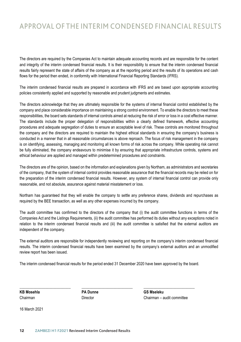### APPROVAL OF THE INTERIM CONDENSED FINANCIAL RESULTS APPROVAL OF THE INTERIM CONDENSED FINANCIAL RESOLI

The directors are required by the Companies Act to maintain adequate accounting records and are responsible for the content and integrity of the interim condensed financial results. It is their responsibility to ensure that the interim condensed financial results fairly represent the state of affairs of the company as at the reporting period and the results of its operations and cash flows for the period then ended, in conformity with International Financial Reporting Standards (IFRS).

The interim condensed financial results are prepared in accordance with IFRS and are based upon appropriate accounting policies consistently applied and supported by reasonable and prudent judgments and estimates.

The directors acknowledge that they are ultimately responsible for the systems of internal financial control established by the company and place considerable importance on maintaining a strong control environment. To enable the directors to meet these responsibilities, the board sets standards of internal controls aimed at reducing the risk of error or loss in a cost effective manner. The standards include the proper delegation of responsibilities within a clearly defined framework, effective accounting procedures and adequate segregation of duties to ensure an acceptable level of risk. These controls are monitored throughout the company and the directors are required to maintain the highest ethical standards in ensuring the company's business is conducted in a manner that in all reasonable circumstances is above reproach. The focus of risk management in the company is on identifying, assessing, managing and monitoring all known forms of risk across the company. While operating risk cannot be fully eliminated, the company endeavours to minimise it by ensuring that appropriate infrastructure controls, systems and ethical behaviour are applied and managed within predetermined procedures and constraints.

The directors are of the opinion, based on the information and explanations given by Northam, as administrators and secretaries of the company, that the system of internal control provides reasonable assurance that the financial records may be relied on for the preparation of the interim condensed financial results. However, any system of internal financial control can provide only reasonable, and not absolute, assurance against material misstatement or loss.

Northam has guaranteed that they will enable the company to settle any preference shares, dividends and repurchases as required by the BEE transaction, as well as any other expenses incurred by the company.

The audit committee has confirmed to the directors of the company that (i) the audit committee functions in terms of the Companies Act and the Listings Requirements, (ii) the audit committee has performed its duties without any exceptions noted in relation to the interim condensed financial results and (iii) the audit committee is satisfied that the external auditors are independent of the company.

The external auditors are responsible for independently reviewing and reporting on the company's interim condensed financial results. The interim condensed financial results have been examined by the company's external auditors and an unmodified review report has been issued.

The interim condensed financial results for the period ended 31 December 2020 have been approved by the board.

\_\_\_\_\_\_\_\_\_\_\_\_\_\_\_\_\_\_\_\_\_\_\_\_\_\_ \_\_\_\_\_\_\_\_\_\_\_\_\_\_\_\_\_\_\_\_\_\_\_\_\_\_ \_\_\_\_\_\_\_\_\_\_\_\_\_\_\_\_\_\_\_\_\_\_\_\_\_\_

**KB Mosehla PA Dunne GS Mseleku**

Chairman Director Chairman – audit committee

16 March 2021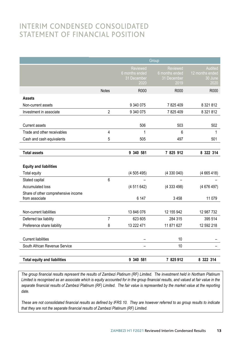### INTERIM CONDENSED CONSOLIDATED STATEMENT OF FINANCIAL POSITION

|                                     | Group          |                                                          |                                                   |                                                      |
|-------------------------------------|----------------|----------------------------------------------------------|---------------------------------------------------|------------------------------------------------------|
|                                     |                | <b>Reviewed</b><br>6 months ended<br>31 December<br>2020 | Reviewed<br>6 months ended<br>31 December<br>2019 | <b>Audited</b><br>12 months ended<br>30 June<br>2020 |
|                                     | <b>Notes</b>   | R000                                                     | R000                                              | R000                                                 |
| Assets                              |                |                                                          |                                                   |                                                      |
| Non-current assets                  |                | 9 340 075                                                | 7825409                                           | 8 321 812                                            |
| Investment in associate             | $\overline{2}$ | 9 340 075                                                | 7825409                                           | 8 321 812                                            |
|                                     |                |                                                          |                                                   |                                                      |
| <b>Current assets</b>               |                | 506                                                      | 503                                               | 502                                                  |
| Trade and other receivables         | 4              | 1                                                        | 6                                                 | 1                                                    |
| Cash and cash equivalents           | 5              | 505                                                      | 497                                               | 501                                                  |
|                                     |                |                                                          |                                                   |                                                      |
| <b>Total assets</b>                 |                | 9 340 581                                                | 7 825 912                                         | 8 322 314                                            |
| <b>Equity and liabilities</b>       |                | (4505495)                                                | (4330040)                                         |                                                      |
| Total equity<br>Stated capital      | 6              |                                                          |                                                   | (4665418)                                            |
| Accumulated loss                    |                | (4511642)                                                | (4333498)                                         | (4676497)                                            |
| Share of other comprehensive income |                |                                                          |                                                   |                                                      |
| from associate                      |                | 6 147                                                    | 3458                                              | 11 0 79                                              |
|                                     |                |                                                          |                                                   |                                                      |
| Non-current liabilities             |                | 13 846 076                                               | 12 155 942                                        | 12 987 732                                           |
| Deferred tax liability              | $\overline{7}$ | 623 605                                                  | 284 315                                           | 395 514                                              |
| Preference share liability          | 8              | 13 222 471                                               | 11 871 627                                        | 12 592 218                                           |
|                                     |                |                                                          |                                                   |                                                      |
| <b>Current liabilities</b>          |                | ۰                                                        | 10                                                |                                                      |
| South African Revenue Service       |                |                                                          | 10                                                |                                                      |
|                                     |                |                                                          |                                                   |                                                      |
| <b>Total equity and liabilities</b> |                | 9 340 581                                                | 7 825 912                                         | 8 322 314                                            |

The group financial results represent the results of Zambezi Platinum (RF) Limited. The investment held in Northam Platinum Limited is recognised as an associate which is equity accounted for in the group financial results, and valued at fair value in the separate financial results of Zambezi Platinum (RF) Limited. The fair value is represented by the market value at the reporting *date. date.*

These are not consolidated financial results as defined by IFRS 10. They are however referred to as group results to indicate *that they are not the separate financial results of Zambezi Platinum (RF) Limited. that they are not the separate financial results of Zambezi Platinum (RF) Limited.*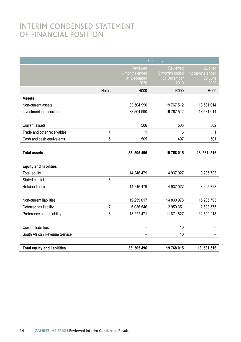### INTERIM CONDENSED STATEMENT INTERIM CONDENSED STATEMENT<br>OF FINANCIAL POSITION Position and the contract of the contract of the contract of the contract of the contract of the contract of the contract of the contract of the contract of the contract of the contract of the contract of the contract of t

|                                     | Company        |                                                          |                                                          |                                                      |
|-------------------------------------|----------------|----------------------------------------------------------|----------------------------------------------------------|------------------------------------------------------|
|                                     |                | <b>Reviewed</b><br>6 months ended<br>31 December<br>2020 | <b>Reviewed</b><br>6 months ended<br>31 December<br>2019 | <b>Audited</b><br>12 months ended<br>30 June<br>2020 |
|                                     | <b>Notes</b>   | R000                                                     | R000                                                     | R000                                                 |
| <b>Assets</b>                       |                |                                                          |                                                          |                                                      |
| Non-current assets                  |                | 33 504 990                                               | 19 767 512                                               | 18 581 014                                           |
| Investment in associate             | $\overline{2}$ | 33 504 990                                               | 19 767 512                                               | 18 581 014                                           |
|                                     |                |                                                          |                                                          |                                                      |
| Current assets                      |                | 506                                                      | 503                                                      | 502                                                  |
| Trade and other receivables         | $\overline{4}$ | 1                                                        | 6                                                        | 1                                                    |
| Cash and cash equivalents           | 5              | 505                                                      | 497                                                      | 501                                                  |
|                                     |                |                                                          |                                                          |                                                      |
| <b>Total assets</b>                 |                | 33 505 496                                               | 19 768 015                                               | 18 581 516                                           |
|                                     |                |                                                          |                                                          |                                                      |
| <b>Equity and liabilities</b>       |                |                                                          |                                                          |                                                      |
| <b>Total equity</b>                 |                | 14 246 479                                               | 4 937 027                                                | 3 295 723                                            |
| Stated capital                      | 6              |                                                          |                                                          |                                                      |
| Retained earnings                   |                | 14 246 479                                               | 4 937 027                                                | 3 295 723                                            |
|                                     |                |                                                          |                                                          |                                                      |
| Non-current liabilities             |                | 19 259 017                                               | 14 830 978                                               | 15 285 793                                           |
| Deferred tax liability              | $\overline{7}$ | 6 036 546                                                | 2 959 351                                                | 2693575                                              |
| Preference share liability          | 8              | 13 222 471                                               | 11 871 627                                               | 12 592 218                                           |
|                                     |                |                                                          |                                                          |                                                      |
| <b>Current liabilities</b>          |                |                                                          | 10                                                       |                                                      |
| South African Revenue Service       |                |                                                          | 10                                                       |                                                      |
|                                     |                |                                                          |                                                          |                                                      |
| <b>Total equity and liabilities</b> |                | 33 505 496                                               | 19 768 015                                               | 18 581 516                                           |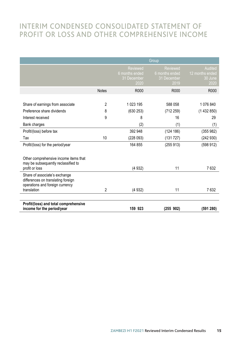### INTERIM CONDENSED CONSOLIDATED STATEMENT OF **PROFIT OR LOSS AND OTHER COMPREHENSIVE INCOME** INTERIM CONDENSED CONSOLIDATED STATEMENT OF

|                                                                                                                       | Group          |                                                   |                                                   |                                               |
|-----------------------------------------------------------------------------------------------------------------------|----------------|---------------------------------------------------|---------------------------------------------------|-----------------------------------------------|
|                                                                                                                       |                | Reviewed<br>6 months ended<br>31 December<br>2020 | Reviewed<br>6 months ended<br>31 December<br>2019 | Audited<br>12 months ended<br>30 June<br>2020 |
|                                                                                                                       | <b>Notes</b>   | R000                                              | R000                                              | R000                                          |
|                                                                                                                       |                |                                                   |                                                   |                                               |
| Share of earnings from associate                                                                                      | $\overline{2}$ | 1023 195                                          | 588 058                                           | 1 076 840                                     |
| Preference share dividends                                                                                            | 8              | (630 253)                                         | (712 259)                                         | (1432850)                                     |
| Interest received                                                                                                     | 9              | 8                                                 | 16                                                | 29                                            |
| Bank charges                                                                                                          |                | (2)                                               | (1)                                               | (1)                                           |
| Profit/(loss) before tax                                                                                              |                | 392 948                                           | (124 186)                                         | (355982)                                      |
| Tax                                                                                                                   | 10             | (228093)                                          | (131 727)                                         | (242930)                                      |
| Profit/(loss) for the period/year                                                                                     |                | 164 855                                           | (255913)                                          | (598912)                                      |
| Other comprehensive income items that<br>may be subsequently reclassified to<br>profit or loss                        |                | (4932)                                            | 11                                                | 7632                                          |
| Share of associate's exchange<br>differences on translating foreign<br>operations and foreign currency<br>translation | $\overline{2}$ | (4932)                                            | 11                                                | 7632                                          |
| Profit/(loss) and total comprehensive<br>income for the period/year                                                   |                | 159 923                                           | (255902)                                          | (591 280)                                     |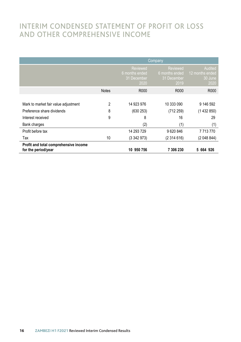### INTERIM CONDENSED STATEMENT OF PROFIT OR LOSS AND OTHER COMPREHENSIVE INCOME

|                                                              | Company        |                                                          |                                                          |                                               |
|--------------------------------------------------------------|----------------|----------------------------------------------------------|----------------------------------------------------------|-----------------------------------------------|
|                                                              |                | <b>Reviewed</b><br>6 months ended<br>31 December<br>2020 | <b>Reviewed</b><br>6 months ended<br>31 December<br>2019 | Audited<br>12 months ended<br>30 June<br>2020 |
|                                                              | <b>Notes</b>   | R000                                                     | R000                                                     | R000                                          |
|                                                              |                |                                                          |                                                          |                                               |
| Mark to market fair value adjustment                         | $\overline{2}$ | 14 923 976                                               | 10 333 090                                               | 9 146 592                                     |
| Preference share dividends                                   | 8              | (630 253)                                                | (712 259)                                                | (1432850)                                     |
| Interest received                                            | 9              | 8                                                        | 16                                                       | 29                                            |
| Bank charges                                                 |                | (2)                                                      | (1)                                                      | (1)                                           |
| Profit before tax                                            |                | 14 293 729                                               | 9620846                                                  | 7713770                                       |
| Tax                                                          | 10             | (3342973)                                                | (2314616)                                                | (2048844)                                     |
| Profit and total comprehensive income<br>for the period/year |                | 10 950 756                                               | 7 306 230                                                | 5 664 926                                     |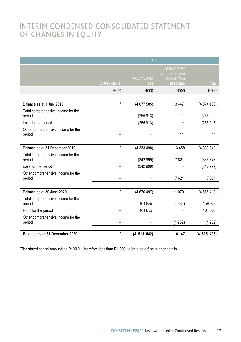### INTERIM CONDENSED CONSOLIDATED STATEMENT OF CHANGES IN EQUITY

|                                              | Group                 |                     |                                                             |                 |
|----------------------------------------------|-----------------------|---------------------|-------------------------------------------------------------|-----------------|
|                                              | <b>Stated capital</b> | Accumulated<br>loss | Share of other<br>comprehensive<br>income from<br>associate | Total           |
|                                              | R000                  | R000                | R000                                                        | R000            |
|                                              |                       |                     |                                                             |                 |
| Balance as at 1 July 2019                    | $\star$               | (4077585)           | 3 4 4 7                                                     | (4074138)       |
| Total comprehensive income for the<br>period |                       | (255913)            | 11                                                          | (255902)        |
| Loss for the period                          |                       | (255913)            |                                                             | (255913)        |
| Other comprehensive income for the<br>period |                       |                     | 11                                                          | 11              |
|                                              |                       |                     |                                                             |                 |
| Balance as at 31 December 2019               | $\star$               | (4 333 498)         | 3458                                                        | (4330040)       |
| Total comprehensive income for the<br>period |                       | (342999)            | 7621                                                        | (335 378)       |
| Loss for the period                          |                       | (342999)            |                                                             | (342999)        |
| Other comprehensive income for the<br>period |                       |                     | 7621                                                        | 7621            |
|                                              |                       |                     |                                                             |                 |
| Balance as at 30 June 2020                   | $\star$               | (4676497)           | 11 0 79                                                     | (4665418)       |
| Total comprehensive income for the<br>period |                       | 164 855             | (4932)                                                      | 159 923         |
| Profit for the period                        |                       | 164 855             |                                                             | 164 855         |
| Other comprehensive income for the<br>period |                       |                     | (4932)                                                      | (4932)          |
| Balance as at 31 December 2020               | $\star$               | (4 511 642)         | 6 147                                                       | $(4\ 505\ 495)$ |

\*The stated capital amounts to R100.01, therefore less than R1 000, refer to note 6 for further details.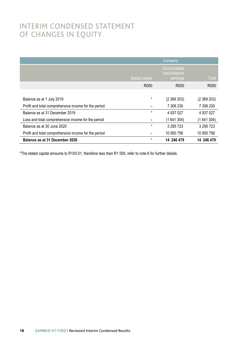### INTERIM CONDENSED STATEMENT OF CHANGES IN EQUITY

|                                                      |                       | Company                                    |                  |
|------------------------------------------------------|-----------------------|--------------------------------------------|------------------|
|                                                      | <b>Stated capital</b> | (Accumulated<br>loss)/retained<br>earnings | <b>Total</b>     |
|                                                      | R <sub>000</sub>      | R <sub>000</sub>                           | R <sub>000</sub> |
|                                                      |                       |                                            |                  |
| Balance as at 1 July 2019                            | $\star$               | (2369203)                                  | (2369203)        |
| Profit and total comprehensive income for the period |                       | 7 306 230                                  | 7 306 230        |
| Balance as at 31 December 2019                       | $\star$               | 4 937 027                                  | 4 937 027        |
| Loss and total comprehensive income for the period   |                       | (1641304)                                  | (1641304)        |
| Balance as at 30 June 2020                           | $\star$               | 3 295 723                                  | 3 295 723        |
| Profit and total comprehensive income for the period |                       | 10 950 756                                 | 10 950 756       |
| Balance as at 31 December 2020                       | $\star$               | 14 246 479                                 | 14 246 479       |

\*The stated capital amounts to R100.01, therefore less than R1 000, refer to note 6 for further details.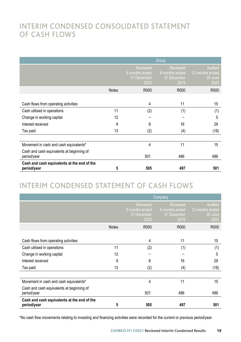### INTERIM CONDENSED CONSOLIDATED STATEMENT OF CASH FLOWS UF CASH FLOWS

|                                                            |              |                                                          | Group                                                    |                                               |
|------------------------------------------------------------|--------------|----------------------------------------------------------|----------------------------------------------------------|-----------------------------------------------|
|                                                            |              | <b>Reviewed</b><br>6 months ended<br>31 December<br>2020 | <b>Reviewed</b><br>6 months ended<br>31 December<br>2019 | Audited<br>12 months ended<br>30 June<br>2020 |
|                                                            | <b>Notes</b> | R000                                                     | R000                                                     | R000                                          |
|                                                            |              |                                                          |                                                          |                                               |
| Cash flows from operating activities                       |              | 4                                                        | 11                                                       | 15                                            |
| Cash utilised in operations                                | 11           | (2)                                                      | (1)                                                      | (1)                                           |
| Change in working capital                                  | 12           |                                                          |                                                          | 5                                             |
| Interest received                                          | 9            | 8                                                        | 16                                                       | 29                                            |
| Tax paid                                                   | 13           | (2)                                                      | (4)                                                      | (18)                                          |
|                                                            |              |                                                          |                                                          |                                               |
| Movement in cash and cash equivalents*                     |              | 4                                                        | 11                                                       | 15                                            |
| Cash and cash equivalents at beginning of<br>period/year   |              | 501                                                      | 486                                                      | 486                                           |
| Cash and cash equivalents at the end of the<br>period/year | 5            | 505                                                      | 497                                                      | 501                                           |

# INTERIM CONDENSED STATEMENT OF CASH FLOWS INTERIM CONDENSED STATEMENT OF CASH FLOWS INTERIM CONDENSED STATEMENT OF CASH FLOWS INTERIM CONDENSED STATEMENT OF CASH FLOWS

|                                                            | Company      |                                                          |                                                          |                                               |
|------------------------------------------------------------|--------------|----------------------------------------------------------|----------------------------------------------------------|-----------------------------------------------|
|                                                            |              | <b>Reviewed</b><br>6 months ended<br>31 December<br>2020 | <b>Reviewed</b><br>6 months ended<br>31 December<br>2019 | Audited<br>12 months ended<br>30 June<br>2020 |
|                                                            | <b>Notes</b> | R000                                                     | R000                                                     | R000                                          |
| Cash flows from operating activities                       |              | 4                                                        | 11                                                       | 15                                            |
| Cash utilised in operations                                | 11           | (2)                                                      | (1)                                                      | (1)                                           |
| Change in working capital                                  | 12           |                                                          |                                                          | 5                                             |
| Interest received                                          | 9            | 8                                                        | 16                                                       | 29                                            |
| Tax paid                                                   | 13           | (2)                                                      | (4)                                                      | (18)                                          |
|                                                            |              |                                                          |                                                          |                                               |
| Movement in cash and cash equivalents*                     |              | 4                                                        | 11                                                       | 15                                            |
| Cash and cash equivalents at beginning of<br>period/year   |              | 501                                                      | 486                                                      | 486                                           |
| Cash and cash equivalents at the end of the<br>period/year | 5            | 505                                                      | 497                                                      | 501                                           |

\*No cash flow movements relating to investing and financing activities were recorded for the current or previous period/year.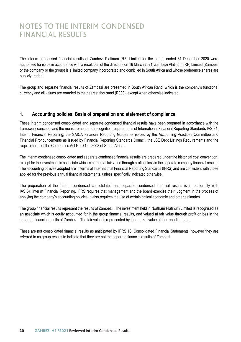## NOTES TO THE INTERIM CONDENSED<br>FINANCIAL REGULES FINANCIAL RESULTS RESULTS

The interim condensed financial results of Zambezi Platinum (RF) Limited for the period ended 31 December 2020 were authorised for issue in accordance with a resolution of the directors on 16 March 2021. Zambezi Platinum (RF) Limited (Zambezi or the company or the group) is a limited company incorporated and domiciled in South Africa and whose preference shares are publicly traded.

The group and separate financial results of Zambezi are presented in South African Rand, which is the company's functional currency and all values are rounded to the nearest thousand (R000), except when otherwise indicated.

### **1. Accounting policies: Basis of preparation and statement of compliance**

These interim condensed consolidated and separate condensed financial results have been prepared in accordance with the framework concepts and the measurement and recognition requirements of International Financial Reporting Standards IAS 34: Interim Financial Reporting, the SAICA Financial Reporting Guides as issued by the Accounting Practices Committee and Financial Pronouncements as issued by Financial Reporting Standards Council, the JSE Debt Listings Requirements and the requirements of the Companies Act No. 71 of 2008 of South Africa.

The interim condensed consolidated and separate condensed financial results are prepared under the historical cost convention, except for the investment in associate which is carried at fair value through profit or loss in the separate company financial results. The accounting policies adopted are in terms of International Financial Reporting Standards (IFRS) and are consistent with those applied for the previous annual financial statements, unless specifically indicated otherwise.

The preparation of the interim condensed consolidated and separate condensed financial results is in conformity with IAS 34: Interim Financial Reporting*.* IFRS requires that management and the board exercise their judgment in the process of applying the company's accounting policies. It also requires the use of certain critical economic and other estimates.

The group financial results represent the results of Zambezi. The investment held in Northam Platinum Limited is recognised as an associate which is equity accounted for in the group financial results, and valued at fair value through profit or loss in the separate financial results of Zambezi. The fair value is represented by the market value at the reporting date.

These are not consolidated financial results as anticipated by IFRS 10: Consolidated Financial Statements, however they are referred to as group results to indicate that they are not the separate financial results of Zambezi.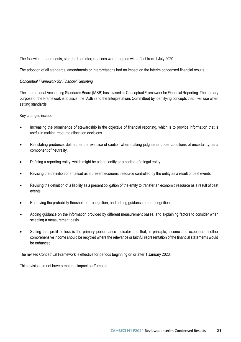The following amendments, standards or interpretations were adopted with effect from 1 July 2020:

The adoption of all standards, amendments or interpretations had no impact on the interim condensed financial results.

#### *Conceptual Framework for Financial Reporting*

The International Accounting Standards Board (IASB) has revised its Conceptual Framework for Financial Reporting. The primary purpose of the Framework is to assist the IASB (and the Interpretations Committee) by identifying concepts that it will use when setting standards.

Key changes include:

- Increasing the prominence of stewardship in the objective of financial reporting, which is to provide information that is useful in making resource allocation decisions.
- Reinstating prudence, defined as the exercise of caution when making judgments under conditions of uncertainty, as a component of neutrality.
- Defining a reporting entity, which might be a legal entity or a portion of a legal entity.
- Revising the definition of an asset as a present economic resource controlled by the entity as a result of past events.
- Revising the definition of a liability as a present obligation of the entity to transfer an economic resource as a result of past events.
- Removing the probability threshold for recognition, and adding guidance on derecognition.
- Adding guidance on the information provided by different measurement bases, and explaining factors to consider when selecting a measurement basis.
- Stating that profit or loss is the primary performance indicator and that, in principle, income and expenses in other comprehensive income should be recycled where the relevance or faithful representation of the financial statements would be enhanced.

The revised Conceptual Framework is effective for periods beginning on or after 1 January 2020.

This revision did not have a material impact on Zambezi.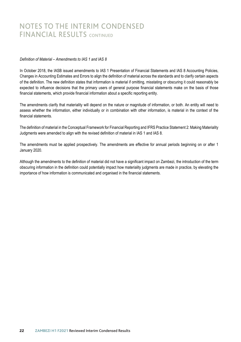### NOTES TO THE INTERIM CONDENSED FINANCIAL RESULTS CONTINUED

#### *Definition of Material – Amendments to IAS 1 and IAS 8*

In October 2018, the IASB issued amendments to IAS 1 Presentation of Financial Statements and IAS 8 Accounting Policies, Changes in Accounting Estimates and Errors to align the definition of material across the standards and to clarify certain aspects of the definition. The new definition states that information is material if omitting, misstating or obscuring it could reasonably be expected to influence decisions that the primary users of general purpose financial statements make on the basis of those financial statements, which provide financial information about a specific reporting entity.

The amendments clarify that materiality will depend on the nature or magnitude of information, or both. An entity will need to assess whether the information, either individually or in combination with other information, is material in the context of the financial statements.

The definition of material in the Conceptual Framework for Financial Reporting and IFRS Practice Statement 2: Making Materiality Judgments were amended to align with the revised definition of material in IAS 1 and IAS 8.

The amendments must be applied prospectively. The amendments are effective for annual periods beginning on or after 1 January 2020.

Although the amendments to the definition of material did not have a significant impact on Zambezi, the introduction of the term obscuring information in the definition could potentially impact how materiality judgments are made in practice, by elevating the importance of how information is communicated and organised in the financial statements.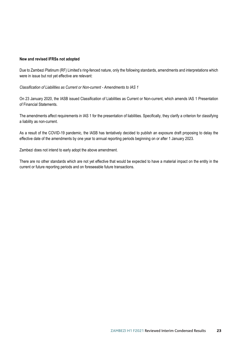#### **New and revised IFRSs not adopted**

Due to Zambezi Platinum (RF) Limited's ring-fenced nature, only the following standards, amendments and interpretations which were in issue but not yet effective are relevant:

*Classification of Liabilities as Current or Non-current - Amendments to IAS 1*

On 23 January 2020, the IASB issued Classification of Liabilities as Current or Non-current, which amends IAS 1 Presentation of Financial Statements.

The amendments affect requirements in IAS 1 for the presentation of liabilities. Specifically, they clarify a criterion for classifying a liability as non-current.

As a result of the COVID-19 pandemic, the IASB has tentatively decided to publish an exposure draft proposing to delay the effective date of the amendments by one year to annual reporting periods beginning on or after 1 January 2023.

Zambezi does not intend to early adopt the above amendment.

There are no other standards which are not yet effective that would be expected to have a material impact on the entity in the current or future reporting periods and on foreseeable future transactions.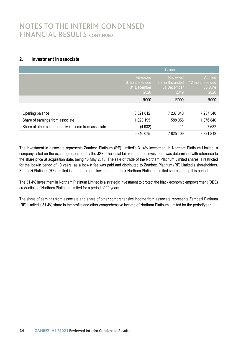### NOTES TO THE INTERIM CONDENSED FINANCIAL RESULTS CONTINUED

### **2. Investment in associate**

|                                                    |                                                   | Group                                             |                                               |
|----------------------------------------------------|---------------------------------------------------|---------------------------------------------------|-----------------------------------------------|
|                                                    | Reviewed<br>6 months ended<br>31 December<br>2020 | Reviewed<br>6 months ended<br>31 December<br>2019 | Audited<br>12 months ended<br>30 June<br>2020 |
|                                                    | R000                                              | R000                                              | R000                                          |
|                                                    |                                                   |                                                   |                                               |
| Opening balance                                    | 8 3 2 1 8 1 2                                     | 7 237 340                                         | 7 237 340                                     |
| Share of earnings from associate                   | 1 023 195                                         | 588 058                                           | 1076840                                       |
| Share of other comprehensive income from associate | (4932)                                            | 11                                                | 7632                                          |
|                                                    | 9 340 075                                         | 7825409                                           | 8 3 2 1 8 1 2                                 |

The investment in associate represents Zambezi Platinum (RF) Limited's 31.4% investment in Northam Platinum Limited, a company listed on the exchange operated by the JSE. The initial fair value of the investment was determined with reference to the share price at acquisition date, being 18 May 2015. The sale or trade of the Northam Platinum Limited shares is restricted for the lock-in period of 10 years, as a lock-in fee was paid and distributed to Zambezi Platinum (RF) Limited's shareholders. Zambezi Platinum (RF) Limited is therefore not allowed to trade their Northam Platinum Limited shares during this period.

The 31.4% investment in Northam Platinum Limited is a strategic investment to protect the black economic empowerment (BEE) credentials of Northam Platinum Limited for a period of 10 years.

The share of earnings from associate and share of other comprehensive income from associate represents Zambezi Platinum (RF) Limited's 31.4% share in the profits and other comprehensive income of Northam Platinum Limited for the period/year.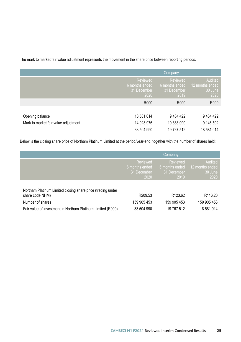The mark to market fair value adjustment represents the movement in the share price between reporting periods.

|                                      |                                                   | Company                                           |                                               |
|--------------------------------------|---------------------------------------------------|---------------------------------------------------|-----------------------------------------------|
|                                      | Reviewed<br>6 months ended<br>31 December<br>2020 | Reviewed<br>6 months ended<br>31 December<br>2019 | Audited<br>12 months ended<br>30 June<br>2020 |
|                                      | R000                                              | R000                                              | R000                                          |
|                                      |                                                   |                                                   |                                               |
| Opening balance                      | 18 581 014                                        | 9 4 34 4 22                                       | 9 434 422                                     |
| Mark to market fair value adjustment | 14 923 976                                        | 10 333 090                                        | 9 146 592                                     |
|                                      | 33 504 990                                        | 19 767 512                                        | 18 581 014                                    |

Below is the closing share price of Northam Platinum Limited at the period/year-end, together with the number of shares held:

|                                                                                |                                                   | Company                                           |                                               |
|--------------------------------------------------------------------------------|---------------------------------------------------|---------------------------------------------------|-----------------------------------------------|
|                                                                                | Reviewed<br>6 months ended<br>31 December<br>2020 | Reviewed<br>6 months ended<br>31 December<br>2019 | Audited<br>12 months ended<br>30 June<br>2020 |
| Northam Platinum Limited closing share price (trading under<br>share code NHM) | R <sub>209.53</sub>                               | R <sub>123.62</sub>                               | R <sub>116.20</sub>                           |
| Number of shares                                                               | 159 905 453                                       | 159 905 453                                       | 159 905 453                                   |
| Fair value of investment in Northam Platinum Limited (R000)                    | 33 504 990                                        | 19 767 512                                        | 18 581 014                                    |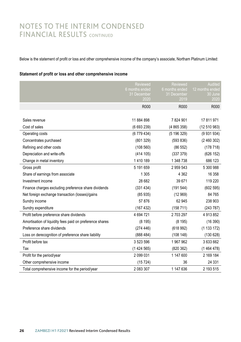### NOTES TO THE INTERIM CONDENSED FINANCIAL RESULTS CONTINUED

Below is the statement of profit or loss and other comprehensive income of the company's associate, Northam Platinum Limited:

#### **Statement of profit or loss and other comprehensive income**

|                                                          | <b>Reviewed</b><br>6 months ended<br>31 December<br>2020 | Reviewed<br>6 months ended<br>31 December<br>2019 | Audited<br>12 months ended<br>30 June<br>2020 |
|----------------------------------------------------------|----------------------------------------------------------|---------------------------------------------------|-----------------------------------------------|
|                                                          | R000                                                     | R000                                              | R000                                          |
|                                                          |                                                          |                                                   |                                               |
| Sales revenue                                            | 11884898                                                 | 7824901                                           | 17 811 971                                    |
| Cost of sales                                            | (6693239)                                                | (4 865 358)                                       | (12 510 983)                                  |
| Operating costs                                          | (6779434)                                                | (5 196 329)                                       | (9931934)                                     |
| Concentrates purchased                                   | (801329)                                                 | (593 836)                                         | (2460302)                                     |
| Refining and other costs                                 | (108560)                                                 | (86 552)                                          | (178718)                                      |
| Depreciation and write-offs                              | (414 105)                                                | (337 379)                                         | (626 152)                                     |
| Change in metal inventory                                | 1410 189                                                 | 1 348 738                                         | 686 123                                       |
| Gross profit                                             | 5 191 659                                                | 2 959 543                                         | 5 300 988                                     |
| Share of earnings from associate                         | 1 3 0 5                                                  | 4 3 6 2                                           | 16 358                                        |
| Investment income                                        | 28 682                                                   | 39 671                                            | 119 220                                       |
| Finance charges excluding preference share dividends     | (331 434)                                                | (191544)                                          | (602595)                                      |
| Net foreign exchange transaction (losses)/gains          | (85935)                                                  | (12969)                                           | 84 765                                        |
| Sundry income                                            | 57876                                                    | 62 945                                            | 238 903                                       |
| Sundry expenditure                                       | (167 432)                                                | (158 711)                                         | (243787)                                      |
| Profit before preference share dividends                 | 4 694 721                                                | 2703297                                           | 4 913 852                                     |
| Amortisation of liquidity fees paid on preference shares | (8195)                                                   | (8195)                                            | (16390)                                       |
| Preference share dividends                               | (274446)                                                 | (618992)                                          | (1133172)                                     |
| Loss on derecognition of preference share liability      | (888484)                                                 | (108148)                                          | (130628)                                      |
| Profit before tax                                        | 3 523 596                                                | 1967962                                           | 3 633 662                                     |
| Tax                                                      | (1424565)                                                | (820362)                                          | (1464478)                                     |
| Profit for the period/year                               | 2 099 031                                                | 1 147 600                                         | 2 169 184                                     |
| Other comprehensive income                               | (15724)                                                  | 36                                                | 24 331                                        |
| Total comprehensive income for the period/year           | 2 083 307                                                | 1 147 636                                         | 2 193 515                                     |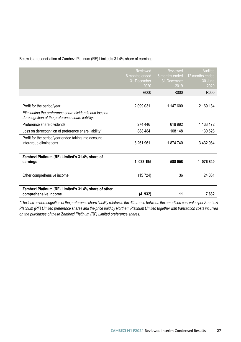Below is a reconciliation of Zambezi Platinum (RF) Limited's 31.4% share of earnings: Below is a reconciliation of Zambezi Platinum (RF) Limited's 31.4% share of earnings:

|                                                                                                            | <b>Reviewed</b><br>6 months ended<br>31 December<br>2020 | <b>Reviewed</b><br>6 months ended<br>31 December<br>2019 | Audited<br>12 months ended<br>30 June<br>2020 |
|------------------------------------------------------------------------------------------------------------|----------------------------------------------------------|----------------------------------------------------------|-----------------------------------------------|
|                                                                                                            | R <sub>000</sub>                                         | R <sub>000</sub>                                         | R000                                          |
|                                                                                                            |                                                          |                                                          |                                               |
| Profit for the period/year                                                                                 | 2 099 031                                                | 1 147 600                                                | 2 169 184                                     |
| Eliminating the preference share dividends and loss on<br>derecognition of the preference share liability: |                                                          |                                                          |                                               |
| Preference share dividends                                                                                 | 274 446                                                  | 618 992                                                  | 1 133 172                                     |
| Loss on derecognition of preference share liability*                                                       | 888 484                                                  | 108 148                                                  | 130 628                                       |
| Profit for the period/year ended taking into account<br>intergroup eliminations                            | 3 261 961                                                | 1874740                                                  | 3 432 984                                     |
|                                                                                                            |                                                          |                                                          |                                               |
| Zambezi Platinum (RF) Limited's 31.4% share of<br>earnings                                                 | 1 023 195                                                | 588 058                                                  | 1 076 840                                     |
|                                                                                                            |                                                          |                                                          |                                               |
| Other comprehensive income                                                                                 | (15724)                                                  | 36                                                       | 24 331                                        |
|                                                                                                            |                                                          |                                                          |                                               |
| Zambezi Platinum (RF) Limited's 31.4% share of other<br>comprehensive income                               | (4 932)                                                  | 11                                                       | 7632                                          |
|                                                                                                            |                                                          |                                                          |                                               |

\*The loss on derecognition of the preference share liability relates to the difference between the amortised cost value per Zambezi Platinum (RF) Limited preference shares and the price paid by Northam Platinum Limited together with transaction costs incurred *on the purchases of these Zambezi Platinum (RF) Limited preference shares. on the purchases of these Zambezi Platinum (RF) Limited preference shares.*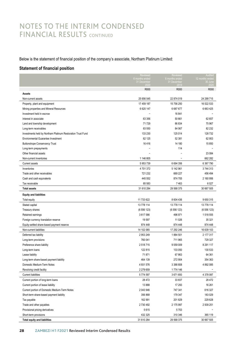### NOTES TO THE INTERIM CONDENSED FINANCIAL RESULTS CONTINUED

Below is the statement of financial position of the company's associate, Northam Platinum Limited: Below is the statement of financial position of the company's associate, Northam Platinum Limited:

### **Statement of financial position Statement of financial position**

|                                                             | Reviewed                      | Reviewed                      | Audited                    |
|-------------------------------------------------------------|-------------------------------|-------------------------------|----------------------------|
|                                                             | 6 months ended<br>31 December | 6 months ended<br>31 December | 12 months ended<br>30 June |
|                                                             |                               |                               |                            |
| <b>Assets</b>                                               | R000                          | R000                          | R000                       |
| Non-current assets                                          | 25 656 545                    | 22 874 019                    | 24 299 715                 |
| Property, plant and equipment                               | 17 459 187                    | 15 756 250                    | 16 522 533                 |
| Mining properties and Mineral Resources                     | 6 620 147                     | 6687677                       | 6 663 425                  |
| Investment held in escrow                                   |                               | 16 841                        |                            |
| Interest in associate                                       | 63 356                        | 50 661                        | 62 657                     |
| Land and township development                               | 71729                         | 86 834                        | 75 967                     |
| Long-term receivables                                       | 83 550                        | 84 067                        | 82 232                     |
| Investments held by Northam Platinum Restoration Trust Fund | 133 230                       | 125 014                       | 128 732                    |
| Environmental Guarantee Investment                          | 62 125                        | 52 381                        | 62 953                     |
| <b>Buttonshope Conservancy Trust</b>                        | 16416                         | 14 180                        | 15 850                     |
| Long-term prepayments                                       | L.                            | 114                           |                            |
| Other financial assets                                      |                               |                               | 23 084                     |
| Non-current inventories                                     | 1 146 805                     | Ĭ.                            | 662 282                    |
| Current assets                                              | 5 953 739                     | 6 6 9 4 3 5 6                 | 6 367 790                  |
| Inventories                                                 | 4701372                       | 5 142 961                     | 3744313                    |
| Trade and other receivables                                 | 721 232                       | 669 227                       | 456 494                    |
| Cash and cash equivalents                                   | 445 552                       | 874 705                       | 2 160 956                  |
| Tax receivable                                              | 85 583                        | 7 4 6 3                       | 6 0 27                     |
| <b>Total assets</b>                                         | 31 610 284                    | 29 568 375                    | 30 667 505                 |
| <b>Equity and liabilities</b>                               |                               |                               |                            |
| Total equity                                                | 11 733 622                    | 8 604 436                     | 9650315                    |
| Stated capital                                              | 13 778 114                    | 13 778 114                    | 13 778 114                 |
| Treasury shares                                             | (6556123)                     | (6556123)                     | (6556123)                  |
| Retained earnings                                           | 3617586                       | 496 971                       | 1518555                    |
| Foreign currency translation reserve                        | 19597                         | 11 0 26                       | 35 321                     |
| Equity-settled share-based payment reserve                  | 874 448                       | 874 448                       | 874 448                    |
| Non-current liabilities                                     | 14 102 065                    | 17 292 246                    | 16 639 103                 |
| Deferred tax liability                                      | 2953249                       | 1884 501                      | 2 177 317                  |
| Long-term provisions                                        | 760 041                       | 711 965                       | 729 327                    |
| Preference share liability                                  | 2518715                       | 9059009                       | 8 2 9 1 1 1 7              |
| Long-term loans                                             | 122 815                       | 133 050                       | 130 533                    |
| Lease liability                                             | 71871                         | 67863                         | 64 361                     |
| Long-term share-based payment liability                     | 464 139                       | 272 904                       | 354 363                    |
| Domestic Medium-Term Notes                                  | 4931576                       | 3 388 808                     | 4 892 085                  |
| Revolving credit facility                                   | 2 279 659                     | 1774 146                      |                            |
| <b>Current liabilities</b>                                  | 5774597                       | 3671693                       | 4 378 087                  |
| Current portion of long-term loans                          | 28 472                        | 33 837                        | 28 472                     |
| Current portion of lease liability                          | 13888                         | 17 293                        | 16 261                     |
| Current portion of Domestic Medium-Term Notes               | 2043946                       | 747 341                       | 616 327                    |
| Short-term share-based payment liability                    | 356 868                       | 179 347                       | 183 029                    |
| Tax payable                                                 | 162 991                       | 201829                        | 229 628                    |
| Trade and other payables                                    | 2730492                       | 2 175 997                     | 2 939 251                  |
| Provisional pricing derivatives                             | 5615                          | 5703                          |                            |
| Short-term provisions                                       | 432 325                       | 310 346                       | 365 119                    |
| <b>Total equity and liabilities</b>                         | 31 610 284                    | 29 568 375                    | 30 667 505                 |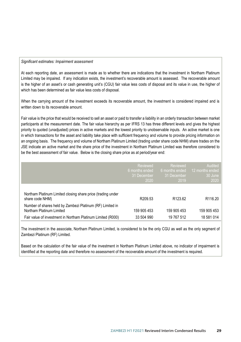#### *Significant estimates: Impairment assessment*

At each reporting date, an assessment is made as to whether there are indications that the investment in Northam Platinum Limited may be impaired. If any indication exists, the investment's recoverable amount is assessed. The recoverable amount is the higher of an asset's or cash generating unit's (CGU) fair value less costs of disposal and its value in use, the higher of which has been determined as fair value less costs of disposal.

When the carrying amount of the investment exceeds its recoverable amount, the investment is considered impaired and is written down to its recoverable amount.

Fair value is the price that would be received to sell an asset or paid to transfer a liability in an orderly transaction between market participants at the measurement date. The fair value hierarchy as per IFRS 13 has three different levels and gives the highest priority to quoted (unadjusted) prices in active markets and the lowest priority to unobservable inputs. An active market is one in which transactions for the asset and liability take place with sufficient frequency and volume to provide pricing information on an ongoing basis. The frequency and volume of Northam Platinum Limited (trading under share code NHM) share trades on the JSE indicate an active market and the share price of the investment in Northam Platinum Limited was therefore considered to be the best assessment of fair value. Below is the closing share price as at period/year end:

|                                                                                       | Reviewed<br>6 months ended<br>31 December<br>2020 | Reviewed<br>6 months ended<br>31 December<br>2019 | Audited<br>12 months ended<br>30 June<br>2020 |
|---------------------------------------------------------------------------------------|---------------------------------------------------|---------------------------------------------------|-----------------------------------------------|
| Northam Platinum Limited closing share price (trading under<br>share code NHM)        | R <sub>209.53</sub>                               | R <sub>123.62</sub>                               | R <sub>116.20</sub>                           |
| Number of shares held by Zambezi Platinum (RF) Limited in<br>Northam Platinum Limited | 159 905 453                                       | 159 905 453                                       | 159 905 453                                   |
| Fair value of investment in Northam Platinum Limited (R000)                           | 33 504 990                                        | 19 767 512                                        | 18 581 014                                    |

The investment in the associate, Northam Platinum Limited, is considered to be the only CGU as well as the only segment of Zambezi Platinum (RF) Limited.

Based on the calculation of the fair value of the investment in Northam Platinum Limited above, no indicator of impairment is identified at the reporting date and therefore no assessment of the recoverable amount of the investment is required.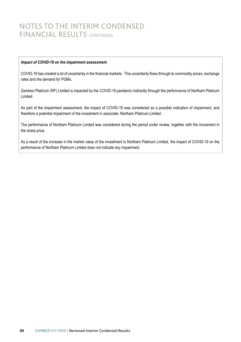### NOTES TO THE INTERIM CONDENSED FINANCIAL RESULTS CONTINUED

#### *Impact of COVID-19 on the impairment assessment*

COVID-19 has created a lot of uncertainty in the financial markets. This uncertainty flows through to commodity prices, exchange rates and the demand for PGMs.

Zambezi Platinum (RF) Limited is impacted by the COVID-19 pandemic indirectly through the performance of Northam Platinum Limited.

As part of the impairment assessment, the impact of COVID-19 was considered as a possible indication of impairment, and therefore a potential impairment of the investment in associate, Northam Platinum Limited.

The performance of Northam Platinum Limited was considered during the period under review, together with the movement in the share price.

As a result of the increase in the market value of the investment in Northam Platinum Limited, the impact of COVID-19 on the performance of Northam Platinum Limited does not indicate any impairment.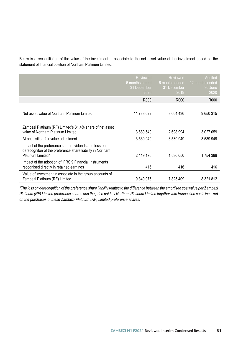Below is a reconciliation of the value of the investment in associate to the net asset value of the investment based on the statement of financial position of Northam Platinum Limited: statement of financial position of Northam Platinum Limited:

|                                                                                                                                        | <b>Reviewed</b><br>6 months ended<br>31 December<br>2020 | Reviewed<br>6 months ended<br>31 December<br>2019 | Audited<br>12 months ended<br>30 June<br>2020 |
|----------------------------------------------------------------------------------------------------------------------------------------|----------------------------------------------------------|---------------------------------------------------|-----------------------------------------------|
|                                                                                                                                        | R000                                                     | R <sub>000</sub>                                  | R000                                          |
|                                                                                                                                        |                                                          |                                                   |                                               |
| Net asset value of Northam Platinum Limited                                                                                            | 11 733 622                                               | 8 604 436                                         | 9650315                                       |
|                                                                                                                                        |                                                          |                                                   |                                               |
| Zambezi Platinum (RF) Limited's 31.4% share of net asset<br>value of Northam Platinum Limited                                          | 3 680 540                                                | 2698994                                           | 3 0 27 0 59                                   |
| At acquisition fair value adjustment                                                                                                   | 3 539 949                                                | 3 539 949                                         | 3 539 949                                     |
| Impact of the preference share dividends and loss on<br>derecogniton of the preference share liability in Northam<br>Platinum Limited* | 2 119 170                                                | 1 586 050                                         | 1754 388                                      |
| Impact of the adoption of IFRS 9 Financial Instruments<br>recognised directly in retained earnings                                     | 416                                                      | 416                                               | 416                                           |
| Value of investment in associate in the group accounts of<br>Zambezi Platinum (RF) Limited                                             | 9 340 075                                                | 7825409                                           | 8 3 21 8 12                                   |

\*The loss on derecognition of the preference share liability relates to the difference between the amortised cost value per Zambezi Platinum (RF) Limited preference shares and the price paid by Northam Platinum Limited together with transaction costs incurred *on the purchases of these Zambezi Platinum (RF) Limited preference shares. on the purchases of these Zambezi Platinum (RF) Limited preference shares.*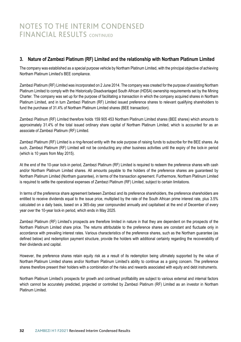### **3. Nature of Zambezi Platinum (RF) Limited and the relationship with Northam Platinum Limited**

The company was established as a special purpose vehicle by Northam Platinum Limited, with the principal objective of achieving Northam Platinum Limited's BEE compliance.

Zambezi Platinum (RF) Limited was incorporated on 2 June 2014. The company was created for the purpose of assisting Northam Platinum Limited to comply with the Historically Disadvantaged South African (HDSA) ownership requirements set by the Mining Charter. The company was set up for the purpose of facilitating a transaction in which the company acquired shares in Northam Platinum Limited, and in turn Zambezi Platinum (RF) Limited issued preference shares to relevant qualifying shareholders to fund the purchase of 31.4% of Northam Platinum Limited shares (BEE transaction).

Zambezi Platinum (RF) Limited therefore holds 159 905 453 Northam Platinum Limited shares (BEE shares) which amounts to approximately 31.4% of the total issued ordinary share capital of Northam Platinum Limited, which is accounted for as an associate of Zambezi Platinum (RF) Limited.

Zambezi Platinum (RF) Limited is a ring-fenced entity with the sole purpose of raising funds to subscribe for the BEE shares. As such, Zambezi Platinum (RF) Limited will not be conducting any other business activities until the expiry of the lock-in period (which is 10 years from May 2015).

At the end of the 10-year lock-in period, Zambezi Platinum (RF) Limited is required to redeem the preference shares with cash and/or Northam Platinum Limited shares. All amounts payable to the holders of the preference shares are guaranteed by Northam Platinum Limited (Northam guarantee), in terms of the transaction agreement. Furthermore, Northam Platinum Limited is required to settle the operational expenses of Zambezi Platinum (RF) Limited, subject to certain limitations.

In terms of the preference share agreement between Zambezi and its preference shareholders, the preference shareholders are entitled to receive dividends equal to the issue price, multiplied by the rate of the South African prime interest rate, plus 3.5% calculated on a daily basis, based on a 365-day year compounded annually and capitalised at the end of December of every year over the 10-year lock-in period, which ends in May 2025.

Zambezi Platinum (RF) Limited's prospects are therefore limited in nature in that they are dependent on the prospects of the Northam Platinum Limited share price. The returns attributable to the preference shares are constant and fluctuate only in accordance with prevailing interest rates. Various characteristics of the preference shares, such as the Northam guarantee (as defined below) and redemption payment structure, provide the holders with additional certainty regarding the recoverability of their dividends and capital.

However, the preference shares retain equity risk as a result of its redemption being ultimately supported by the value of Northam Platinum Limited shares and/or Northam Platinum Limited's ability to continue as a going concern. The preference shares therefore present their holders with a combination of the risks and rewards associated with equity and debt instruments.

Northam Platinum Limited's prospects for growth and continued profitability are subject to various external and internal factors which cannot be accurately predicted, projected or controlled by Zambezi Platinum (RF) Limited as an investor in Northam Platinum Limited.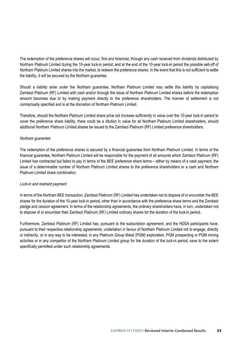The redemption of the preference shares will occur, first and foremost, through any cash received from dividends distributed by Northam Platinum Limited during the 10-year lock-in period, and at the end of the 10-year lock-in period the possible sell-off of Northam Platinum Limited shares into the market, to redeem the preference shares. In the event that this is not sufficient to settle the liability, it will be secured by the Northam guarantee.

Should a liability arise under the Northam guarantee, Northam Platinum Limited may settle this liability by capitalising Zambezi Platinum (RF) Limited with cash and/or through the issue of Northam Platinum Limited shares before the redemption amount becomes due or by making payment directly to the preference shareholders. The manner of settlement is not contractually specified and is at the discretion of Northam Platinum Limited.

Therefore, should the Northam Platinum Limited share price not increase sufficiently in value over the 10-year lock-in period to cover the preference share liability, there could be a dilution in value for all Northam Platinum Limited shareholders, should additional Northam Platinum Limited shares be issued to the Zambezi Platinum (RF) Limited preference shareholders.

#### *Northam guarantee*

The redemption of the preference shares is secured by a financial guarantee from Northam Platinum Limited. In terms of the financial guarantee, Northam Platinum Limited will be responsible for the payment of all amounts which Zambezi Platinum (RF) Limited has contracted but failed to pay in terms of the BEE preference share terms – either by means of a cash payment, the issue of a determinable number of Northam Platinum Limited shares to the preference shareholders or a cash and Northam Platinum Limited share combination.

#### *Lock-in and restraint payment*

In terms of the Northam BEE transaction, Zambezi Platinum (RF) Limited has undertaken not to dispose of or encumber the BEE shares for the duration of the 10-year lock-in period, other than in accordance with the preference share terms and the Zambezi pledge and cession agreement. In terms of the relationship agreements, the ordinary shareholders have, in turn, undertaken not to dispose of or encumber their Zambezi Platinum (RF) Limited ordinary shares for the duration of the lock-in period.

Furthermore, Zambezi Platinum (RF) Limited has, pursuant to the subscription agreement, and the HDSA participants have, pursuant to their respective relationship agreements, undertaken in favour of Northam Platinum Limited not to engage, directly or indirectly, or in any way to be interested, in any Platinum Group Metal (PGM) exploration, PGM prospecting or PGM mining activities or in any competitor of the Northam Platinum Limited group for the duration of the lock-in period, save to the extent specifically permitted under such relationship agreements.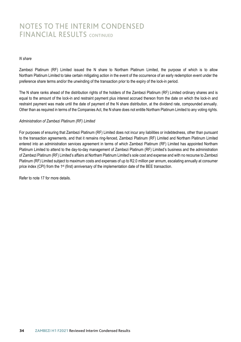### NOTES TO THE INTERIM CONDENSED FINANCIAL RESULTS CONTINUED

#### *N share*

Zambezi Platinum (RF) Limited issued the N share to Northam Platinum Limited, the purpose of which is to allow Northam Platinum Limited to take certain mitigating action in the event of the occurrence of an early redemption event under the preference share terms and/or the unwinding of the transaction prior to the expiry of the lock-in period.

The N share ranks ahead of the distribution rights of the holders of the Zambezi Platinum (RF) Limited ordinary shares and is equal to the amount of the lock-in and restraint payment plus interest accrued thereon from the date on which the lock-in and restraint payment was made until the date of payment of the N share distribution, at the dividend rate, compounded annually. Other than as required in terms of the Companies Act, the N share does not entitle Northam Platinum Limited to any voting rights.

#### *Administration of Zambezi Platinum (RF) Limited*

For purposes of ensuring that Zambezi Platinum (RF) Limited does not incur any liabilities or indebtedness, other than pursuant to the transaction agreements, and that it remains ring-fenced, Zambezi Platinum (RF) Limited and Northam Platinum Limited entered into an administration services agreement in terms of which Zambezi Platinum (RF) Limited has appointed Northam Platinum Limited to attend to the day-to-day management of Zambezi Platinum (RF) Limited's business and the administration of Zambezi Platinum (RF) Limited's affairs at Northam Platinum Limited's sole cost and expense and with no recourse to Zambezi Platinum (RF) Limited subject to maximum costs and expenses of up to R2.0 million per annum, escalating annually at consumer price index (CPI) from the 1st (first) anniversary of the implementation date of the BEE transaction.

Refer to note 17 for more details.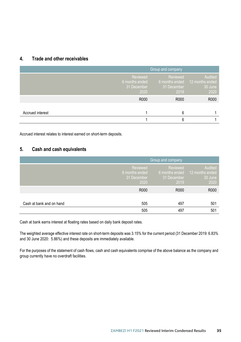### **4. Trade and other receivables**

|                  | Group and company                                 |                                                   |                                               |
|------------------|---------------------------------------------------|---------------------------------------------------|-----------------------------------------------|
|                  | Reviewed<br>6 months ended<br>31 December<br>2020 | Reviewed<br>6 months ended<br>31 December<br>2019 | Audited<br>12 months ended<br>30 June<br>2020 |
|                  | R000                                              | R000                                              | R000                                          |
| Accrued interest |                                                   |                                                   |                                               |
|                  |                                                   |                                                   |                                               |

Accrued interest relates to interest earned on short-term deposits.

### **5. Cash and cash equivalents**

|                          | <b>Group and company</b>                          |                                                   |                                               |
|--------------------------|---------------------------------------------------|---------------------------------------------------|-----------------------------------------------|
|                          | Reviewed<br>6 months ended<br>31 December<br>2020 | Reviewed<br>6 months ended<br>31 December<br>2019 | Audited<br>12 months ended<br>30 June<br>2020 |
|                          | R000                                              | R000                                              | R000                                          |
| Cash at bank and on hand | 505                                               | 497                                               | 501                                           |
|                          | 505                                               | 497                                               | 501                                           |

Cash at bank earns interest at floating rates based on daily bank deposit rates.

The weighted average effective interest rate on short-term deposits was 3.15% for the current period (31 December 2019: 6.83% and 30 June 2020: 5.86%) and these deposits are immediately available.

For the purposes of the statement of cash flows, cash and cash equivalents comprise of the above balance as the company and group currently have no overdraft facilities.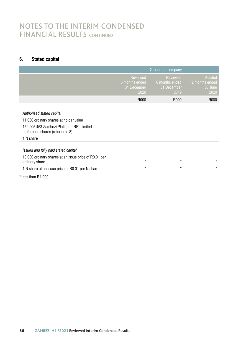### NOTES TO THE INTERIM CONDENSED NOTES TO THE INTERIM POINSERISES

### **6. Stated capital**

|                                                                                                                                                                   |                                                          | Group and company                                 |                                               |
|-------------------------------------------------------------------------------------------------------------------------------------------------------------------|----------------------------------------------------------|---------------------------------------------------|-----------------------------------------------|
|                                                                                                                                                                   | <b>Reviewed</b><br>6 months ended<br>31 December<br>2020 | Reviewed<br>6 months ended<br>31 December<br>2019 | Audited<br>12 months ended<br>30 June<br>2020 |
|                                                                                                                                                                   | R000                                                     | R000                                              | R000                                          |
| Authorised stated capital<br>11 000 ordinary shares at no par value<br>159 905 453 Zambezi Platinum (RF) Limited<br>preference shares (refer note 8)<br>1 N share |                                                          |                                                   |                                               |
| Issued and fully paid stated capital                                                                                                                              |                                                          |                                                   |                                               |
| 10 000 ordinary shares at an issue price of R0.01 per<br>ordinary share                                                                                           | $\star$                                                  | $\star$                                           | $\star$                                       |
| 1 N share at an issue price of R0.01 per N share                                                                                                                  | $\star$                                                  | $\star$                                           | $\star$                                       |
| *Less than R1 000                                                                                                                                                 |                                                          |                                                   |                                               |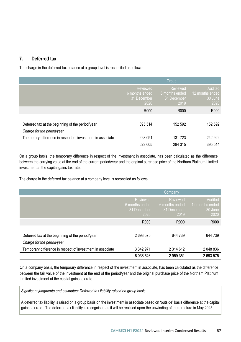### **7. Deferred tax 7. Deferred tax 7. Deferred tax 7. Deferred tax**

The charge in the deferred tax balance at a group level is reconciled as follows:

|                                                            |                                                   | Group                                             |                                               |
|------------------------------------------------------------|---------------------------------------------------|---------------------------------------------------|-----------------------------------------------|
|                                                            | Reviewed<br>6 months ended<br>31 December<br>2020 | Reviewed<br>6 months ended<br>31 December<br>2019 | Audited<br>12 months ended<br>30 June<br>2020 |
|                                                            | R <sub>000</sub>                                  | R <sub>000</sub>                                  | R000                                          |
|                                                            |                                                   |                                                   |                                               |
| Deferred tax at the beginning of the period/year           | 395 514                                           | 152 592                                           | 152 592                                       |
| Charge for the period/year                                 |                                                   |                                                   |                                               |
| Temporary difference in respect of investment in associate | 228 091                                           | 131 723                                           | 242 922                                       |
|                                                            | 623 605                                           | 284 315                                           | 395 514                                       |

On a group basis, the temporary difference in respect of the investment in associate, has been calculated as the difference between the carrying value at the end of the current period/year and the original purchase price of the Northam Platinum Limited investment at the capital gains tax rate. investment at the capital gains tax rate. investment at the capital gains tax rate. Temporary difference in respect of investment in associate 228 091 131 723 242 922<br>623 605 284 315 395 514<br>On a group basis, the temporary difference in respect of the investment in associate, has been calculated as the di In a group basis, the temporary difference in respect of the investment in associate, has been calculated as the difference

The charge in the deferred tax balance at a company level is reconciled as follows:

|                                                                                | Company                                           |                                                   |                                               |
|--------------------------------------------------------------------------------|---------------------------------------------------|---------------------------------------------------|-----------------------------------------------|
|                                                                                | Reviewed<br>6 months ended<br>31 December<br>2020 | Reviewed<br>6 months ended<br>31 December<br>2019 | Audited<br>12 months ended<br>30 June<br>2020 |
|                                                                                | R <sub>000</sub>                                  | R <sub>000</sub>                                  | R000                                          |
| Deferred tax at the beginning of the period/year<br>Charge for the period/year | 2 693 575                                         | 644 739                                           | 644 739                                       |
| Temporary difference in respect of investment in associate                     | 3 342 971<br>6036546                              | 2 3 1 4 6 1 2<br>2959351                          | 2 048 836<br>2693575                          |

On a company basis, the temporary difference in respect of the investment in associate, has been calculated as the difference between the fair value of the investment at the end of the period/year and the original purchase price of the Northam Platinum Limited investment at the capital gains tax rate.

Significant judgments and estimates: Deferred tax liability raised on group basis

A deferred tax liability is raised on a group basis on the investment in associate based on 'outside' basis difference at the capital A deferred tax liability is raised on a group basis on the investment in associate based on 'outside' basis difference at the capita gains tax rate. The deferred tax liability is recognised as it will be realised upon the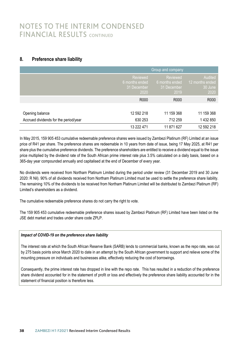### NOTES TO THE INTERIM CONDENSED NOTES TO THE INTERIM POSTBERSED FINANCIAL RESULTS CONTINUED

### **8. Preference share liability 8. Preference share liability**

|                                       | Group and company                                 |                                                   |                                               |
|---------------------------------------|---------------------------------------------------|---------------------------------------------------|-----------------------------------------------|
|                                       | Reviewed<br>6 months ended<br>31 December<br>2020 | Reviewed<br>6 months ended<br>31 December<br>2019 | Audited<br>12 months ended<br>30 June<br>2020 |
|                                       | R <sub>000</sub>                                  | R000                                              | R000                                          |
|                                       |                                                   |                                                   |                                               |
| Opening balance                       | 12 592 218                                        | 11 159 368                                        | 11 159 368                                    |
| Accrued dividends for the period/year | 630 253                                           | 712 259                                           | 1 432 850                                     |
|                                       | 13 222 471                                        | 11 871 627                                        | 12 592 218                                    |

In May 2015, 159 905 453 cumulative redeemable preference shares were issued by Zambezi Platinum (RF) Limited at an issue price of R41 per share. The preference shares are redeemable in 10 years from date of issue, being 17 May 2025, at R41 per share plus the cumulative preference dividends. The preference shareholders are entitled to receive a dividend equal to the issue price multiplied by the dividend rate of the South African prime interest rate plus 3.5% calculated on a daily basis, based on a 365-day year compounded annually and capitalised at the end of December of every year. 365-day year compounded annually and capitalised at the end of December of every year.

No dividends were received from Northam Platinum Limited during the period under review (31 December 2019 and 30 June 2020: R Nil). 90% of all dividends received from Northam Platinum Limited must be used to settle the preference share liability. The remaining 10% of the dividends to be received from Northam Platinum Limited will be distributed to Zambezi Platinum (RF) Limited's shareholders as a dividend. Limited's shareholders as a dividend.

The cumulative redeemable preference shares do not carry the right to vote. The cumulative redeemable preference shares do not carry the right to vote.

The 159 905 453 cumulative redeemable preference shares issued by Zambezi Platinum (RF) Limited have been listed on the JSE debt market and trades under share code ZPLP. JSE debt market and trades under share code ZPLP.

### *Impact of COVID-19 on the preference share liability Impact of COVID-19 on the preference share liability*

The interest rate at which the South African Reserve Bank (SARB) lends to commercial banks, known as the repo rate, was cut by 275 basis points since March 2020 to date in an attempt by the South African government to support and relieve some of the mounting pressure on individuals and businesses alike, effectively reducing the cost of borrowings. mounting pressure on individuals and businesses alike, effectively reducing the cost of borrowings.

Consequently, the prime interest rate has dropped in line with the repo rate. This has resulted in a reduction of the preference share dividend accounted for in the statement of profit or loss and effectively the preference share liability accounted for in the statement of financial position is therefore less. statement of financial position is therefore less.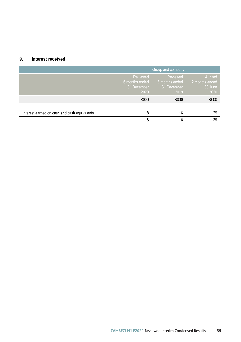### **9. Interest received**

|                                              | Group and company                                 |                                                   |                                               |
|----------------------------------------------|---------------------------------------------------|---------------------------------------------------|-----------------------------------------------|
|                                              | Reviewed<br>6 months ended<br>31 December<br>2020 | Reviewed<br>6 months ended<br>31 December<br>2019 | Audited<br>12 months ended<br>30 June<br>2020 |
|                                              | R000                                              | R000                                              | R000                                          |
| Interest earned on cash and cash equivalents | 8                                                 | 16                                                | 29                                            |
|                                              | 8                                                 | 16                                                | 29                                            |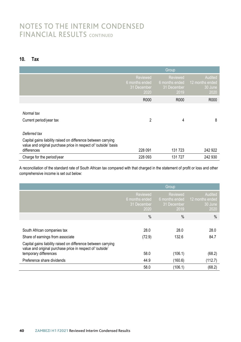### NOTES TO THE INTERIM CONDENSED NOTES TO THE INTERIM POINSERISES

### **10. Tax**

|                                                                                                                                                 |                                                   | Group                                                    |                                               |
|-------------------------------------------------------------------------------------------------------------------------------------------------|---------------------------------------------------|----------------------------------------------------------|-----------------------------------------------|
|                                                                                                                                                 | Reviewed<br>6 months ended<br>31 December<br>2020 | <b>Reviewed</b><br>6 months ended<br>31 December<br>2019 | Audited<br>12 months ended<br>30 June<br>2020 |
|                                                                                                                                                 | R000                                              | R000                                                     | R000                                          |
| Normal tax<br>Current period/year tax                                                                                                           | 2                                                 | 4                                                        | 8                                             |
| Deferred tax                                                                                                                                    |                                                   |                                                          |                                               |
| Capital gains liability raised on difference between carrying<br>value and original purchase price in respect of 'outside' basis<br>differences | 228 091                                           | 131 723                                                  | 242 922                                       |
| Charge for the period/year                                                                                                                      | 228 093                                           | 131 727                                                  | 242 930                                       |

A reconciliation of the standard rate of South African tax compared with that charged in the statement of profit or loss and other comprehensive income is set out below:

|                                                                                                                            |                                                   | Group                                                    |                                               |
|----------------------------------------------------------------------------------------------------------------------------|---------------------------------------------------|----------------------------------------------------------|-----------------------------------------------|
|                                                                                                                            | Reviewed<br>6 months ended<br>31 December<br>2020 | <b>Reviewed</b><br>6 months ended<br>31 December<br>2019 | Audited<br>12 months ended<br>30 June<br>2020 |
|                                                                                                                            | $\frac{0}{0}$                                     | $\%$                                                     | $\frac{0}{0}$                                 |
|                                                                                                                            |                                                   |                                                          |                                               |
| South African companies tax                                                                                                | 28.0                                              | 28.0                                                     | 28.0                                          |
| Share of earnings from associate                                                                                           | (72.9)                                            | 132.6                                                    | 84.7                                          |
| Capital gains liability raised on difference between carrying<br>value and original purchase price in respect of 'outside' |                                                   |                                                          |                                               |
| temporary differences                                                                                                      | 58.0                                              | (106.1)                                                  | (68.2)                                        |
| Preference share dividends                                                                                                 | 44.9                                              | (160.6)                                                  | (112.7)                                       |
|                                                                                                                            | 58.0                                              | (106.1)                                                  | (68.2)                                        |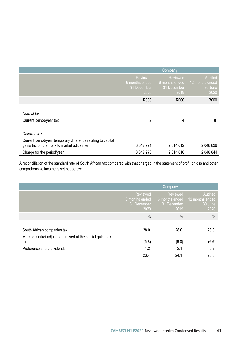|                                                                                                            | <b>Company</b>                                           |                                                   |                                               |
|------------------------------------------------------------------------------------------------------------|----------------------------------------------------------|---------------------------------------------------|-----------------------------------------------|
|                                                                                                            | <b>Reviewed</b><br>6 months ended<br>31 December<br>2020 | Reviewed<br>6 months ended<br>31 December<br>2019 | Audited<br>12 months ended<br>30 June<br>2020 |
|                                                                                                            | R000                                                     | R000                                              | R <sub>000</sub>                              |
| Normal tax<br>Current period/year tax                                                                      | 2                                                        | 4                                                 | 8                                             |
| Deferred tax                                                                                               |                                                          |                                                   |                                               |
| Current period/year temporary difference relating to capital<br>gains tax on the mark to market adjustment | 3 342 971                                                | 2 3 1 4 6 1 2                                     | 2 048 836                                     |
| Charge for the period/year                                                                                 | 3 342 973                                                | 2 3 1 4 6 1 6                                     | 2 048 844                                     |

A reconciliation of the standard rate of South African tax compared with that charged in the statement of profit or loss and other comprehensive income is set out below:  $\overline{\phantom{a}}$  $C$  the period  $\mathcal{C}$  342  $\mathcal{C}$  342 973 2 314  $\mathcal{C}$  314  $\mathcal{C}$  314  $\mathcal{C}$  314  $\mathcal{C}$  048 844  $\mathcal{C}$ 

|                                                                                                 |                                                   | Company                                                  |                                               |
|-------------------------------------------------------------------------------------------------|---------------------------------------------------|----------------------------------------------------------|-----------------------------------------------|
|                                                                                                 | Reviewed<br>6 months ended<br>31 December<br>2020 | <b>Reviewed</b><br>6 months ended<br>31 December<br>2019 | Audited<br>12 months ended<br>30 June<br>2020 |
|                                                                                                 | $\%$                                              | $\%$                                                     | $\%$                                          |
| South African companies tax                                                                     | 28.0                                              | 28.0                                                     | 28.0                                          |
| Mark to market adjustment raised at the capital gains tax<br>rate<br>Preference share dividends | (5.8)<br>1.2                                      | (6.0)<br>2.1                                             | (6.6)<br>5.2                                  |
|                                                                                                 | 23.4                                              | 24.1                                                     | 26.6                                          |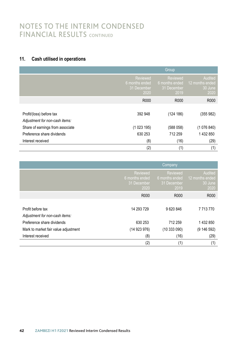# NOTES TO THE INTERIM CONDENSED FINANCIAL RESULTS CONTINUED

### **11. Cash utilised in operations 11. Cash utilised in operations**

|                                                            |                                                   | Group                                             |                                               |
|------------------------------------------------------------|---------------------------------------------------|---------------------------------------------------|-----------------------------------------------|
|                                                            | Reviewed<br>6 months ended<br>31 December<br>2020 | Reviewed<br>6 months ended<br>31 December<br>2019 | Audited<br>12 months ended<br>30 June<br>2020 |
|                                                            | R000                                              | R000                                              | R000                                          |
| Profit/(loss) before tax<br>Adjustment for non-cash items: | 392 948                                           | (124 186)                                         | (355982)                                      |
| Share of earnings from associate                           | (1023195)                                         | (588058)                                          | (1076840)                                     |
| Preference share dividends                                 | 630 253                                           | 712 259                                           | 1 432 850                                     |
| Interest received                                          | (8)                                               | (16)                                              | (29)                                          |
|                                                            | (2)                                               | (1)                                               | (1)                                           |

| Preference share dividends           | 630 253                                                  | 712 259                                                  | 1432850                                       |
|--------------------------------------|----------------------------------------------------------|----------------------------------------------------------|-----------------------------------------------|
| Interest received                    | (8)                                                      | (16)                                                     | (29)                                          |
|                                      | (2)                                                      | (1)                                                      | (1)                                           |
|                                      |                                                          |                                                          |                                               |
|                                      |                                                          | Company                                                  |                                               |
|                                      | <b>Reviewed</b><br>6 months ended<br>31 December<br>2020 | <b>Reviewed</b><br>6 months ended<br>31 December<br>2019 | Audited<br>12 months ended<br>30 June<br>2020 |
|                                      | R000                                                     | R000                                                     | R000                                          |
|                                      |                                                          |                                                          |                                               |
| Profit before tax                    | 14 293 729                                               | 9620846                                                  | 7 7 1 3 7 7 0                                 |
| Adjustment for non-cash items:       |                                                          |                                                          |                                               |
| Preference share dividends           | 630 253                                                  | 712 259                                                  | 1 432 850                                     |
| Mark to market fair value adjustment | (14 923 976)                                             | (10333090)                                               | (9 146 592)                                   |
| Interest received                    | (8)                                                      | (16)                                                     | (29)                                          |
|                                      | (2)                                                      | (1)                                                      | (1)                                           |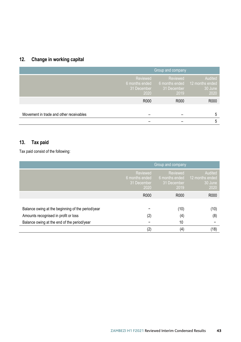### **12. Change in working capital**

|                                         |                                                   | Group and company               |                                                              |
|-----------------------------------------|---------------------------------------------------|---------------------------------|--------------------------------------------------------------|
|                                         | Reviewed<br>6 months ended<br>31 December<br>2020 | Reviewed<br>31 December<br>2019 | Audited<br>6 months ended 12 months ended<br>30 June<br>2020 |
|                                         | R000                                              | R000                            | R000                                                         |
|                                         |                                                   |                                 |                                                              |
| Movement in trade and other receivables |                                                   |                                 | 5                                                            |
|                                         |                                                   |                                 | 5                                                            |

#### **13. Tax paid** Tax paid consistent of the following:

Tax paid consist of the following:

|                                                   | Group and company                                        |                                                   |                                               |  |  |
|---------------------------------------------------|----------------------------------------------------------|---------------------------------------------------|-----------------------------------------------|--|--|
|                                                   | <b>Reviewed</b><br>6 months ended<br>31 December<br>2020 | Reviewed<br>6 months ended<br>31 December<br>2019 | Audited<br>12 months ended<br>30 June<br>2020 |  |  |
|                                                   | R000                                                     | R000                                              | R000                                          |  |  |
|                                                   |                                                          |                                                   |                                               |  |  |
| Balance owing at the beginning of the period/year |                                                          | (10)                                              | (10)                                          |  |  |
| Amounts recognised in profit or loss              | (2)                                                      | (4)                                               | (8)                                           |  |  |
| Balance owing at the end of the period/year       |                                                          | 10                                                |                                               |  |  |
|                                                   | (2)                                                      | (4)                                               | (18)                                          |  |  |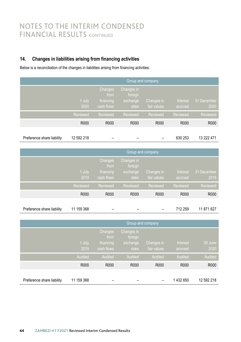### **14. Changes in liabilities arising from financing activities**

Below is a reconciliation of the changes in liabilities arising from financing activities:

|                            | Group and company, |                                            |                                            |                           |                     |                     |
|----------------------------|--------------------|--------------------------------------------|--------------------------------------------|---------------------------|---------------------|---------------------|
|                            | 1 July<br>2020     | Changes<br>from<br>financing<br>cash flows | Changes in<br>foreign<br>exchange<br>rates | Changes in<br>fair values | Interest<br>accrued | 31 December<br>2020 |
|                            | Reviewed           | Reviewed                                   | Reviewed                                   | Reviewed                  | Reviewed            | Reviewed            |
|                            | R000               | R000                                       | R000                                       | R000                      | R000                | R000                |
| Preference share liability | 12 592 218         |                                            |                                            |                           | 630 253             | 13 222 471          |

| Group and company |                                            |                                            |                           |                     |                     |
|-------------------|--------------------------------------------|--------------------------------------------|---------------------------|---------------------|---------------------|
| 1 July<br>2019    | Changes<br>from<br>financing<br>cash flows | Changes in<br>foreign<br>exchange<br>rates | Changes in<br>fair values | Interest<br>accrued | 31 December<br>2019 |
| Reviewed          | Reviewed                                   | Reviewed                                   | Reviewed                  | <b>Reviewed</b>     | Reviewed            |
| R000              | R000                                       | R000                                       | R000                      | R000                | R000                |

| Preference share liability 11 159 368 |  |  |  |  |  | 712 259 11 871 627 |
|---------------------------------------|--|--|--|--|--|--------------------|
|---------------------------------------|--|--|--|--|--|--------------------|

|                            | <b>Group and company</b> |                                            |                                            |                           |                     |                 |
|----------------------------|--------------------------|--------------------------------------------|--------------------------------------------|---------------------------|---------------------|-----------------|
|                            | 1 July<br>2019           | Changes<br>from<br>financing<br>cash flows | Changes in<br>foreign<br>exchange<br>rates | Changes in<br>fair values | Interest<br>accrued | 30 June<br>2020 |
|                            | Audited                  | Audited                                    | Audited                                    | Audited                   | Audited             | Audited         |
|                            | R000                     | R000                                       | R000                                       | R000                      | R000                | R000            |
| Preference share liability | 11 159 368               |                                            |                                            |                           | 1432850             | 12 592 218      |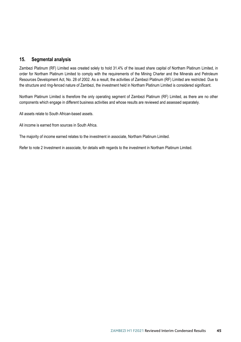### **15. Segmental analysis**

Zambezi Platinum (RF) Limited was created solely to hold 31.4% of the issued share capital of Northam Platinum Limited, in order for Northam Platinum Limited to comply with the requirements of the Mining Charter and the Minerals and Petroleum Resources Development Act, No. 28 of 2002. As a result, the activities of Zambezi Platinum (RF) Limited are restricted. Due to the structure and ring-fenced nature of Zambezi, the investment held in Northam Platinum Limited is considered significant.

Northam Platinum Limited is therefore the only operating segment of Zambezi Platinum (RF) Limited, as there are no other components which engage in different business activities and whose results are reviewed and assessed separately.

All assets relate to South African-based assets.

All income is earned from sources in South Africa.

The majority of income earned relates to the investment in associate, Northam Platinum Limited.

Refer to note 2 Investment in associate, for details with regards to the investment in Northam Platinum Limited.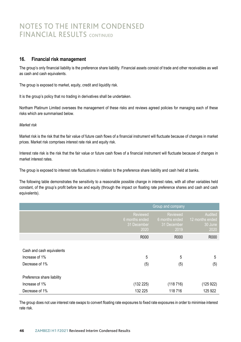### NOTES TO THE INTERIM CONDENSED **TO THE INTERIM CONDENSED**<br>FINANCIAL RESULTS CONTINUED

### **16. Financial risk management 16. Financial risk management**

The group's only financial liability is the preference share liability. Financial assets consist of trade and other receivables as well as cash and cash equivalents. as cash and cash equivalents.

The group is exposed to market, equity, credit and liquidity risk. The group is exposed to market, equity, credit and liquidity risk.

It is the group's policy that no trading in derivatives shall be undertaken. It is the group's policy that no trading in derivatives shall be undertaken.

Northam Platinum Limited oversees the management of these risks and reviews agreed policies for managing each of these risks which are summarised below. risks which are summarised below.

#### *Market risk Market risk*

Market risk is the risk that the fair value of future cash flows of a financial instrument will fluctuate because of changes in market prices. Market risk comprises interest rate risk and equity risk. prices. Market risk comprises interest rate risk and equity risk.

Interest rate risk is the risk that the fair value or future cash flows of a financial instrument will fluctuate because of changes in market interest rates. market interest rates.

The group is exposed to interest rate fluctuations in relation to the preference share liability and cash held at banks.

The following table demonstrates the sensitivity to a reasonable possible change in interest rates, with all other variables held constant, of the group's profit before tax and equity (through the impact on floating rate preference shares and cash and cash equivalents). equivalents).

|                                                               | Group and company                                 |                                                          |                                               |  |
|---------------------------------------------------------------|---------------------------------------------------|----------------------------------------------------------|-----------------------------------------------|--|
|                                                               | Reviewed<br>6 months ended<br>31 December<br>2020 | <b>Reviewed</b><br>6 months ended<br>31 December<br>2019 | Audited<br>12 months ended<br>30 June<br>2020 |  |
|                                                               | R000                                              | R000                                                     | R000                                          |  |
| Cash and cash equivalents<br>Increase of 1%<br>Decrease of 1% | 5<br>(5)                                          | 5<br>(5)                                                 | 5<br>(5)                                      |  |
| Preference share liability                                    |                                                   |                                                          |                                               |  |
| Increase of 1%                                                | (132 225)                                         | (118716)                                                 | (125 922)                                     |  |
| Decrease of 1%                                                | 132 225                                           | 118 716                                                  | 125 922                                       |  |

The group does not use interest rate swaps to convert floating rate exposures to fixed rate exposures in order to minimise interest rate risk. rate risk.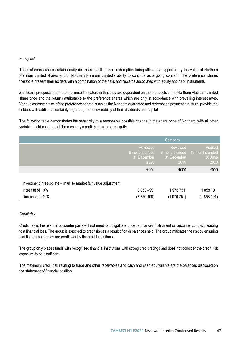#### *Equity risk*

The preference shares retain equity risk as a result of their redemption being ultimately supported by the value of Northam Platinum Limited shares and/or Northam Platinum Limited's ability to continue as a going concern. The preference shares therefore present their holders with a combination of the risks and rewards associated with equity and debt instruments.

Zambezi's prospects are therefore limited in nature in that they are dependent on the prospects of the Northam Platinum Limited share price and the returns attributable to the preference shares which are only in accordance with prevailing interest rates. Various characteristics of the preference shares, such as the Northam guarantee and redemption payment structure, provide the holders with additional certainty regarding the recoverability of their dividends and capital.

The following table demonstrates the sensitivity to a reasonable possible change in the share price of Northam, with all other variables held constant, of the company's profit before tax and equity:

|                                                                |                                                   | <b>Company</b>                                    |                                               |
|----------------------------------------------------------------|---------------------------------------------------|---------------------------------------------------|-----------------------------------------------|
|                                                                | Reviewed<br>6 months ended<br>31 December<br>2020 | Reviewed<br>6 months ended<br>31 December<br>2019 | Audited<br>12 months ended<br>30 June<br>2020 |
|                                                                | R000                                              | R000                                              | R <sub>000</sub>                              |
| Investment in associate – mark to market fair value adjustment |                                                   |                                                   |                                               |
| Increase of 10%                                                | 3 3 5 0 4 9 9                                     | 1976751                                           | 1858 101                                      |
| Decrease of 10%                                                | (3350499)                                         | (1976 751)                                        | (1858 101)                                    |

#### *Credit risk*

Credit risk is the risk that a counter party will not meet its obligations under a financial instrument or customer contract, leading to a financial loss. The group is exposed to credit risk as a result of cash balances held. The group mitigates the risk by ensuring that its counter parties are credit worthy financial institutions.

The group only places funds with recognised financial institutions with strong credit ratings and does not consider the credit risk exposure to be significant.

The maximum credit risk relating to trade and other receivables and cash and cash equivalents are the balances disclosed on the statement of financial position.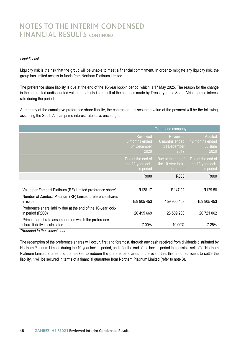### NOTES TO THE INTERIM CONDENSED FINANCIAL RESULTS CONTINUED

#### *Liquidity risk*

Liquidity risk is the risk that the group will be unable to meet a financial commitment. In order to mitigate any liquidity risk, the group has limited access to funds from Northam Platinum Limited.

The preference share liability is due at the end of the 10-year lock-in period, which is 17 May 2025. The reason for the change in the contracted undiscounted value at maturity is a result of the changes made by Treasury to the South African prime interest rate during the period.

At maturity of the cumulative preference share liability, the contracted undiscounted value of the payment will be the following, assuming the South African prime interest rate stays unchanged:

|                                                                                         | Group and company                                        |                                                          |                                                     |  |
|-----------------------------------------------------------------------------------------|----------------------------------------------------------|----------------------------------------------------------|-----------------------------------------------------|--|
|                                                                                         | <b>Reviewed</b><br>6 months ended<br>31 December<br>2020 | <b>Reviewed</b><br>6 months ended<br>31 December<br>2019 | Audited<br>12 months ended<br>30 June<br>2020       |  |
|                                                                                         | Due at the end of<br>the 10-year lock-<br>in period      | Due at the end of<br>the 10-year lock-<br>in period      | Due at the end of<br>the 10-year lock-<br>in period |  |
|                                                                                         | R000                                                     | R000                                                     | R000                                                |  |
|                                                                                         |                                                          |                                                          |                                                     |  |
| Value per Zambezi Platinum (RF) Limited preference share*                               | R <sub>128.17</sub>                                      | R <sub>147.02</sub>                                      | R <sub>129.58</sub>                                 |  |
| Number of Zambezi Platinum (RF) Limited preference shares<br>in issue                   | 159 905 453                                              | 159 905 453                                              | 159 905 453                                         |  |
| Preference share liability due at the end of the 10-year lock-<br>in period (R000)      | 20 495 669                                               | 23 509 283                                               | 20 721 062                                          |  |
| Prime interest rate assumption on which the preference<br>share liability is calculated | 7.00%                                                    | 10.00%                                                   | 7.25%                                               |  |

*\*Rounded to the closest cent*

The redemption of the preference shares will occur, first and foremost, through any cash received from dividends distributed by Northam Platinum Limited during the 10-year lock-in period, and after the end of the lock-in period the possible sell-off of Northam Platinum Limited shares into the market, to redeem the preference shares. In the event that this is not sufficient to settle the liability, it will be secured in terms of a financial guarantee from Northam Platinum Limited (refer to note 3).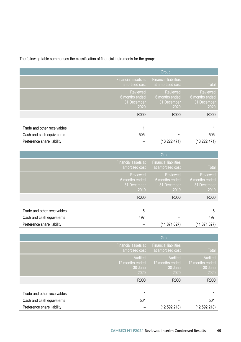The following table summarises the classification of financial instruments for the group:

|                                                          |                                                          | Group                                             |                                                          |
|----------------------------------------------------------|----------------------------------------------------------|---------------------------------------------------|----------------------------------------------------------|
|                                                          | Financial assets at<br>amortised cost                    | <b>Financial liabilities</b><br>at amortised cost | <b>Total</b>                                             |
|                                                          | <b>Reviewed</b><br>6 months ended<br>31 December<br>2020 | Reviewed<br>6 months ended<br>31 December<br>2020 | <b>Reviewed</b><br>6 months ended<br>31 December<br>2020 |
|                                                          | R000                                                     | R000                                              | R000                                                     |
| Trade and other receivables<br>Cash and cash equivalents | 505                                                      |                                                   | 505                                                      |
| Preference share liability                               |                                                          | (13 222 471)                                      | (13 222 471)                                             |

|                             |                                                   | Group                                             |                                                   |
|-----------------------------|---------------------------------------------------|---------------------------------------------------|---------------------------------------------------|
|                             | Financial assets at<br>amortised cost             | <b>Financial liabilities</b><br>at amortised cost | Total                                             |
|                             | Reviewed<br>6 months ended<br>31 December<br>2019 | Reviewed<br>6 months ended<br>31 December<br>2019 | Reviewed<br>6 months ended<br>31 December<br>2019 |
|                             | R000                                              | R000                                              | R000                                              |
| Trade and other receivables | 6                                                 |                                                   | 6                                                 |
|                             |                                                   |                                                   |                                                   |
| Cash and cash equivalents   | 497                                               |                                                   | 497                                               |
| Preference share liability  |                                                   | (11 871 627)                                      | (11871627)                                        |

|                                                         |                                               | Group                                             |                                               |
|---------------------------------------------------------|-----------------------------------------------|---------------------------------------------------|-----------------------------------------------|
|                                                         | Financial assets at<br>amortised cost         | <b>Financial liabilities</b><br>at amortised cost | <b>Total</b>                                  |
|                                                         | Audited<br>12 months ended<br>30 June<br>2020 | Audited<br>12 months ended<br>30 June<br>2020     | Audited<br>12 months ended<br>30 June<br>2020 |
|                                                         | R000                                          | R000                                              | R000                                          |
| Trade and other receivables                             | 4                                             |                                                   |                                               |
| Cash and cash equivalents<br>Preference share liability | 501                                           | (12 592 218)                                      | 501<br>(12592218)                             |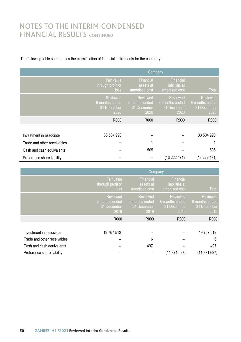### NOTES TO THE INTERIM CONDENSED FINANCIAL RESULTS CONTINUED

#### The following table summarises the classification of financial instruments for the company:

|                             |                                                   | Company                                                  |                                                   |                                                   |  |
|-----------------------------|---------------------------------------------------|----------------------------------------------------------|---------------------------------------------------|---------------------------------------------------|--|
|                             | Fair value<br>through profit or<br>loss           | Financial<br>assets at<br>amortised cost                 | Financial<br>liabilities at<br>amortised cost     | <b>Total</b>                                      |  |
|                             | Reviewed<br>6 months ended<br>31 December<br>2020 | <b>Reviewed</b><br>6 months ended<br>31 December<br>2020 | Reviewed<br>6 months ended<br>31 December<br>2020 | Reviewed<br>6 months ended<br>31 December<br>2020 |  |
|                             | R000                                              | R000                                                     | R000                                              | R000                                              |  |
|                             |                                                   |                                                          |                                                   |                                                   |  |
| Investment in associate     | 33 504 990                                        |                                                          |                                                   | 33 504 990                                        |  |
| Trade and other receivables |                                                   |                                                          |                                                   |                                                   |  |
| Cash and cash equivalents   |                                                   | 505                                                      |                                                   | 505                                               |  |
| Preference share liability  |                                                   |                                                          | (13 222 471)                                      | (13 222 471)                                      |  |

|                             | <b>Company</b>                                    |                                                   |                                                   |                                                   |
|-----------------------------|---------------------------------------------------|---------------------------------------------------|---------------------------------------------------|---------------------------------------------------|
|                             | Fair value<br>through profit or<br>loss           | Financial<br>assets at<br>amortised cost          | Financial<br>liabilities at<br>amortised cost     | <b>Total</b>                                      |
|                             | Reviewed<br>6 months ended<br>31 December<br>2019 | Reviewed<br>6 months ended<br>31 December<br>2019 | Reviewed<br>6 months ended<br>31 December<br>2019 | Reviewed<br>6 months ended<br>31 December<br>2019 |
|                             | R000                                              | R <sub>000</sub>                                  | R000                                              | R000                                              |
|                             |                                                   |                                                   |                                                   |                                                   |
| Investment in associate     | 19 767 512                                        |                                                   |                                                   | 19 767 512                                        |
| Trade and other receivables |                                                   | 6                                                 |                                                   | 6                                                 |
| Cash and cash equivalents   |                                                   | 497                                               |                                                   | 497                                               |
| Preference share liability  |                                                   |                                                   | (11 871 627)                                      | (11 871 627)                                      |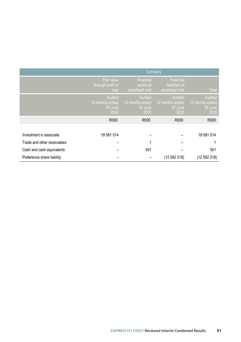|                             | Company                                       |                                               |                                               |                                               |
|-----------------------------|-----------------------------------------------|-----------------------------------------------|-----------------------------------------------|-----------------------------------------------|
|                             | Fair value<br>through profit or<br>loss       | Financial<br>assets at<br>amortised cost      | Financial<br>liabilities at<br>amortised cost | <b>Total</b>                                  |
|                             | Audited<br>12 months ended<br>30 June<br>2020 | Audited<br>12 months ended<br>30 June<br>2020 | Audited<br>12 months ended<br>30 June<br>2020 | Audited<br>12 months ended<br>30 June<br>2020 |
|                             | R000                                          | R000                                          | R000                                          | R000                                          |
|                             |                                               |                                               |                                               |                                               |
| Investment in associate     | 18 581 014                                    |                                               |                                               | 18 581 014                                    |
| Trade and other receivables |                                               |                                               |                                               |                                               |
| Cash and cash equivalents   |                                               | 501                                           |                                               | 501                                           |
| Preference share liability  |                                               |                                               | (12592218)                                    | (12 592 218)                                  |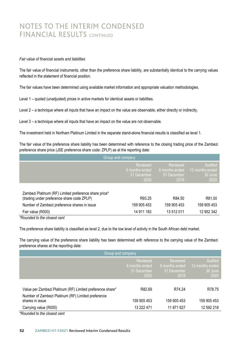### NOTES TO THE INTERIM CONDENSED FINANCIAL RESULTS CONTINUED

#### *Fair value of financial assets and liabilities*

The fair value of financial instruments, other than the preference share liability, are substantially identical to the carrying values reflected in the statement of financial position.

The fair values have been determined using available market information and appropriate valuation methodologies.

Level 1 – quoted (unadjusted) prices in active markets for identical assets or liabilities.

Level 2 – a technique where all inputs that have an impact on the value are observable, either directly or indirectly.

Level 3 – a technique where all inputs that have an impact on the value are not observable.

The investment held in Northam Platinum Limited in the separate stand-alone financial results is classified as level 1.

The fair value of the preference share liability has been determined with reference to the closing trading price of the Zambezi preference share price (JSE preference share code: ZPLP) as at the reporting date:

|                                                                                                     | Group and company                                 |                                                   |                                               |
|-----------------------------------------------------------------------------------------------------|---------------------------------------------------|---------------------------------------------------|-----------------------------------------------|
|                                                                                                     | Reviewed<br>6 months ended<br>31 December<br>2020 | Reviewed<br>6 months ended<br>31 December<br>2019 | Audited<br>12 months ended<br>30 June<br>2020 |
| Zambezi Platinum (RF) Limited preference share price*<br>(trading under preference share code ZPLP) | R93.25                                            | R84.50                                            | R81.00                                        |
| Number of Zambezi preference shares in issue                                                        | 159 905 453                                       | 159 905 453                                       | 159 905 453                                   |
| Fair value (R000)                                                                                   | 14 911 183                                        | 13 512 011                                        | 12 952 342                                    |
|                                                                                                     |                                                   |                                                   |                                               |

*\*Rounded to the closest cent*

The preference share liability is classified as level 2, due to the low level of activity in the South African debt market.

The carrying value of the preference share liability has been determined with reference to the carrying value of the Zambezi preference shares at the reporting date:

| Group and company                                         |                                                   |                                                   |                                               |  |  |
|-----------------------------------------------------------|---------------------------------------------------|---------------------------------------------------|-----------------------------------------------|--|--|
|                                                           | Reviewed<br>6 months ended<br>31 December<br>2020 | Reviewed<br>6 months ended<br>31 December<br>2019 | Audited<br>12 months ended<br>30 June<br>2020 |  |  |
|                                                           |                                                   |                                                   |                                               |  |  |
| Value per Zambezi Platinum (RF) Limited preference share* | R82.69                                            | R74 24                                            | R78.75                                        |  |  |
| Number of Zambezi Platinum (RF) Limited preference        |                                                   |                                                   |                                               |  |  |
| shares in issue                                           | 159 905 453                                       | 159 905 453                                       | 159 905 453                                   |  |  |
| Carrying value (R000)                                     | 13 222 471                                        | 11 871 627                                        | 12 592 218                                    |  |  |
| *Rounded to the closest cent                              |                                                   |                                                   |                                               |  |  |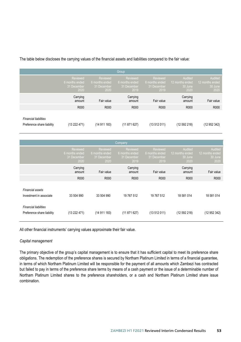The table below discloses the carrying values of the financial assets and liabilities compared to the fair value:

|                                                            |                                                   |                                                   | Group                                             |                                                   |                                               |                                               |
|------------------------------------------------------------|---------------------------------------------------|---------------------------------------------------|---------------------------------------------------|---------------------------------------------------|-----------------------------------------------|-----------------------------------------------|
|                                                            | Reviewed<br>6 months ended<br>31 December<br>2020 | Reviewed<br>6 months ended<br>31 December<br>2020 | Reviewed<br>6 months ended<br>31 December<br>2019 | Reviewed<br>6 months ended<br>31 December<br>2019 | Audited<br>12 months ended<br>30 June<br>2020 | Audited<br>12 months ended<br>30 June<br>2020 |
|                                                            | Carrying<br>amount                                | Fair value                                        | Carrying<br>amount                                | Fair value                                        | Carrying<br>amount                            | Fair value                                    |
|                                                            | R000                                              | R000                                              | R000                                              | R000                                              | R000                                          | R000                                          |
| <b>Financial liabilities</b><br>Preference share liability | (13 222 471)                                      | (14 911 183)                                      | (11871627)                                        | (13512011)                                        | (12592218)                                    | (12952342)                                    |

|                                                            |                                                   |                                                   | Company                                           |                                                   |                                               |                                               |
|------------------------------------------------------------|---------------------------------------------------|---------------------------------------------------|---------------------------------------------------|---------------------------------------------------|-----------------------------------------------|-----------------------------------------------|
|                                                            | Reviewed<br>6 months ended<br>31 December<br>2020 | Reviewed<br>6 months ended<br>31 December<br>2020 | Reviewed<br>6 months ended<br>31 December<br>2019 | Reviewed<br>6 months ended<br>31 December<br>2019 | Audited<br>12 months ended<br>30 June<br>2020 | Audited<br>12 months ended<br>30 June<br>2020 |
|                                                            | Carrying<br>amount                                | Fair value                                        | Carrying<br>amount                                | Fair value                                        | Carrying<br>amount                            | Fair value                                    |
|                                                            | R000                                              | R000                                              | R000                                              | R000                                              | R000                                          | R000                                          |
| Financial assets<br>Investment in associate                | 33 504 990                                        | 33 504 990                                        | 19 767 512                                        | 19 767 512                                        | 18 581 014                                    | 18 581 014                                    |
| <b>Financial liabilities</b><br>Preference share liability | (13 222 471)                                      | (14 911 183)                                      | (11871627)                                        | (13512011)                                        | (12592218)                                    | (12 952 342)                                  |

All other financial instruments' carrying values approximate their fair value.

#### *Capital management*

The primary objective of the group's capital management is to ensure that it has sufficient capital to meet its preference share obligations. The redemption of the preference shares is secured by Northam Platinum Limited in terms of a financial guarantee, in terms of which Northam Platinum Limited will be responsible for the payment of all amounts which Zambezi has contracted but failed to pay in terms of the preference share terms by means of a cash payment or the issue of a determinable number of Northam Platinum Limited shares to the preference shareholders, or a cash and Northam Platinum Limited share issue combination.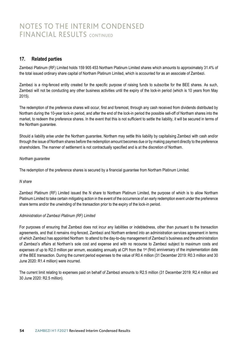### NOTES TO THE INTERIM CONDENSED **FINANCIAL RESULTS** CONTINUED

### **17. Related parties**

Zambezi Platinum (RF) Limited holds 159 905 453 Northam Platinum Limited shares which amounts to approximately 31.4% of the total issued ordinary share capital of Northam Platinum Limited, which is accounted for as an associate of Zambezi.

Zambezi is a ring-fenced entity created for the specific purpose of raising funds to subscribe for the BEE shares. As such, Zambezi will not be conducting any other business activities until the expiry of the lock-in period (which is 10 years from May 2015).

The redemption of the preference shares will occur, first and foremost, through any cash received from dividends distributed by Northam during the 10-year lock-in period, and after the end of the lock-in period the possible sell-off of Northam shares into the market, to redeem the preference shares. In the event that this is not sufficient to settle the liability, it will be secured in terms of the Northam guarantee.

Should a liability arise under the Northam guarantee, Northam may settle this liability by capitalising Zambezi with cash and/or through the issue of Northam shares before the redemption amount becomes due or by making payment directly to the preference shareholders. The manner of settlement is not contractually specified and is at the discretion of Northam.

#### *Northam guarantee*

The redemption of the preference shares is secured by a financial guarantee from Northam Platinum Limited.

#### *N share*

Zambezi Platinum (RF) Limited issued the N share to Northam Platinum Limited, the purpose of which is to allow Northam Platinum Limited to take certain mitigating action in the event of the occurrence of an early redemption event under the preference share terms and/or the unwinding of the transaction prior to the expiry of the lock-in period.

#### *Administration of Zambezi Platinum (RF) Limited*

For purposes of ensuring that Zambezi does not incur any liabilities or indebtedness, other than pursuant to the transaction agreements, and that it remains ring-fenced, Zambezi and Northam entered into an administration services agreement in terms of which Zambezi has appointed Northam to attend to the day-to-day management of Zambezi's business and the administration of Zambezi's affairs at Northam's sole cost and expense and with no recourse to Zambezi subject to maximum costs and expenses of up to R2.0 million per annum, escalating annually at CPI from the 1<sup>st</sup> (first) anniversary of the implementation date of the BEE transaction. During the current period expenses to the value of R0.4 million (31 December 2019: R0.3 million and 30 June 2020: R1.4 million) were incurred.

The current limit relating to expenses paid on behalf of Zambezi amounts to R2.5 million (31 December 2019: R2.4 million and 30 June 2020: R2.5 million).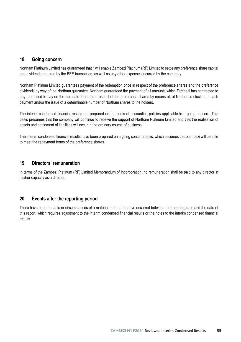### **18. Going concern**

Northam Platinum Limited has guaranteed that it will enable Zambezi Platinum (RF) Limited to settle any preference share capital and dividends required by the BEE transaction, as well as any other expenses incurred by the company.

Northam Platinum Limited guarantees payment of the redemption price in respect of the preference shares and the preference dividends by way of the Northam guarantee. Northam guaranteed the payment of all amounts which Zambezi has contracted to pay (but failed to pay on the due date thereof) in respect of the preference shares by means of, at Northam's election, a cash payment and/or the issue of a determinable number of Northam shares to the holders.

The interim condensed financial results are prepared on the basis of accounting policies applicable to a going concern. This basis presumes that the company will continue to receive the support of Northam Platinum Limited and that the realisation of assets and settlement of liabilities will occur in the ordinary course of business.

The interim condensed financial results have been prepared on a going concern basis, which assumes that Zambezi will be able to meet the repayment terms of the preference shares.

### **19. Directors' remuneration**

In terms of the Zambezi Platinum (RF) Limited Memorandum of Incorporation, no remuneration shall be paid to any director in his/her capacity as a director.

### **20. Events after the reporting period**

There have been no facts or circumstances of a material nature that have occurred between the reporting date and the date of this report, which requires adjustment to the interim condensed financial results or the notes to the interim condensed financial results.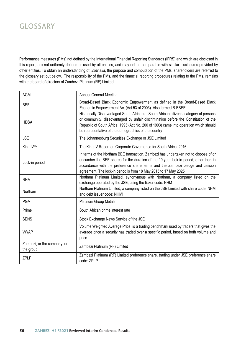### GLOSSARY

Performance measures (PMs) not defined by the International Financial Reporting Standards (IFRS) and which are disclosed in this report, are not uniformly defined or used by all entities, and may not be comparable with similar disclosures provided by other entities. To obtain an understanding of, *inter alia*, the purpose and computation of the PMs, shareholders are referred to the glossary set out below. The responsibility of the PMs, and the financial reporting procedures relating to the PMs, remains with the board of directors of Zambezi Platinum (RF) Limited.

| <b>AGM</b>                               | Annual General Meeting                                                                                                                                                                                                                                                                                                             |
|------------------------------------------|------------------------------------------------------------------------------------------------------------------------------------------------------------------------------------------------------------------------------------------------------------------------------------------------------------------------------------|
| <b>BEE</b>                               | Broad-Based Black Economic Empowerment as defined in the Broad-Based Black<br>Economic Empowerment Act (Act 53 of 2003). Also termed B-BBEE                                                                                                                                                                                        |
| <b>HDSA</b>                              | Historically Disadvantaged South Africans - South African citizens, category of persons<br>or community, disadvantaged by unfair discrimination before the Constitution of the<br>Republic of South Africa, 1993 (Act No. 200 of 1993) came into operation which should<br>be representative of the demographics of the country    |
| <b>JSE</b>                               | The Johannesburg Securities Exchange or JSE Limited                                                                                                                                                                                                                                                                                |
| King IV™                                 | The King IV Report on Corporate Governance for South Africa, 2016                                                                                                                                                                                                                                                                  |
| Lock-in period                           | In terms of the Northam BEE transaction, Zambezi has undertaken not to dispose of or<br>encumber the BEE shares for the duration of the 10-year lock-in period, other than in<br>accordance with the preference share terms and the Zambezi pledge and cession<br>agreement. The lock-in period is from 18 May 2015 to 17 May 2025 |
| <b>NHM</b>                               | Northam Platinum Limited, synonymous with Northam, a company listed on the<br>exchange operated by the JSE, using the ticker code: NHM                                                                                                                                                                                             |
| Northam                                  | Northam Platinum Limited, a company listed on the JSE Limited with share code: NHM<br>and debt issuer code: NHMI                                                                                                                                                                                                                   |
| <b>PGM</b>                               | <b>Platinum Group Metals</b>                                                                                                                                                                                                                                                                                                       |
| Prime                                    | South African prime interest rate                                                                                                                                                                                                                                                                                                  |
| <b>SENS</b>                              | Stock Exchange News Service of the JSE                                                                                                                                                                                                                                                                                             |
| <b>VWAP</b>                              | Volume Weighted Average Price, is a trading benchmark used by traders that gives the<br>average price a security has traded over a specific period, based on both volume and<br>price                                                                                                                                              |
| Zambezi, or the company, or<br>the group | Zambezi Platinum (RF) Limited                                                                                                                                                                                                                                                                                                      |
| <b>7PIP</b>                              | Zambezi Platinum (RF) Limited preference share, trading under JSE preference share<br>code: ZPLP                                                                                                                                                                                                                                   |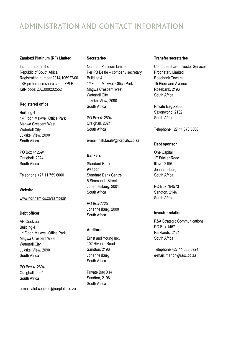### ADMINISTRATION AND CONTACT INFORMATION

### **Zambezi Platinum (RF) Limited Zambezi Platinum (RF) Limited**

Incorporated in the Incorporated in the Republic of South Africa Republic of South Africa Registration number 2014/106927/06 Registration number 2014/106927/06 JSE preference share code: ZPLP JSE preference share code: ZPLP ISIN code: ZAE000202552 ISIN code: ZAE000202552

### **Registered office Registered office**

Building 4 Building 4 1st Floor, Maxwell Office Park 1st Floor, Maxwell Office Park Magwa Crescent West Magwa Crescent West Waterfall City Waterfall City Jukskei View, 2090 Jukskei View, 2090 South Africa South Africa

PO Box 412694 PO Box 412694 Craighall, 2024 Craighall, 2024 South Africa South Africa

Telephone +27 11 759 6000 Telephone +27 11 759 6000

### **Website Website**

www.northam.co.za/zambezi/ www.northam.co.za/zambezi/

### **Debt officer Debt officer**

AH Coetzee AH Coetzee Building 4 Building 4 1st Floor, Maxwell Office Park 1st Floor, Maxwell Office Park Magwa Crescent West Magwa Crescent West Waterfall City Waterfall City Jukskei View, 2090 Jukskei View, 2090 South Africa South Africa

PO Box 412694 PO Box 412694 Craighall, 2024 Craighall, 2024 South Africa South Africa

e-mail: alet.coetzee@norplats.co.za e-mail: alet.coetzee@norplats.co.za

### **Secretaries Secretaries**

Northam Platinum Limited Northam Platinum Limited Per PB Beale – company secretary Per PB Beale – company secretary Building 4 Building 4 1st Floor, Maxwell Office Park 1st Floor, Maxwell Office Park Magwa Crescent West Magwa Crescent West Waterfall City Waterfall City Jukskei View, 2090 Jukskei View, 2090 South Africa South Africa

PO Box 412694 PO Box 412694 Craighall, 2024 Craighall, 2024 South Africa South Africa

e-mail:trish.beale@norplats.co.za e-mail:trish.beale@norplats.co.za

### **Bankers Bankers**

Standard Bank Standard Bank 9th floor 9th floor Standard Bank Centre Standard Bank Centre 5 Simmonds Street 5 Simmonds Street Johannesburg, 2001 Johannesburg, 2001 South Africa South Africa

PO Box 7725 PO Box 7725 Johannesburg, 2000 Johannesburg, 2000 South Africa South Africa

### **Auditors Auditors**

Ernst and Young Inc. Ernst and Young Inc. 102 Rivonia Road 102 Rivonia Road Sandton, 2196 Sandton, 2196 Johannesburg Johannesburg South Africa South Africa

Private Bag X14 Private Bag X14 Sandton, 2196 Sandton, 2196 South Africa South Africa

### **Transfer secretaries Transfer secretaries**

Computershare Investor Services Computershare Investor Services Proprietary Limited Proprietary Limited Rosebank Towers Rosebank Towers 15 Biermann Avenue 15 Biermann Avenue Rosebank, 2196 Rosebank, 2196 South Africa South Africa

Private Bag X9000 Private Bag X9000 Saxonworld, 2132 Saxonworld, 2132 South Africa South Africa

Telephone +27 11 370 5000 Telephone +27 11 370 5000

### **Debt sponsor Debt sponsor**

One Capital One Capital 17 Fricker Road 17 Fricker Road Illovo, 2196 Illovo, 2196 Johannesburg Johannesburg South Africa South Africa

PO Box 784573 PO Box 784573 Sandton, 2146 Sandton, 2146 South Africa South Africa

### **Investor relations Investor relations**

R&A Strategic Communications R&A Strategic Communications PO Box 1457 PO Box 1457 Parklands, 2121 Parklands, 2121 South Africa South Africa

Telephone +27 11 880 3924 Telephone +27 11 880 3924 e-mail: marion@rasc.co.za e-mail: marion@rasc.co.za